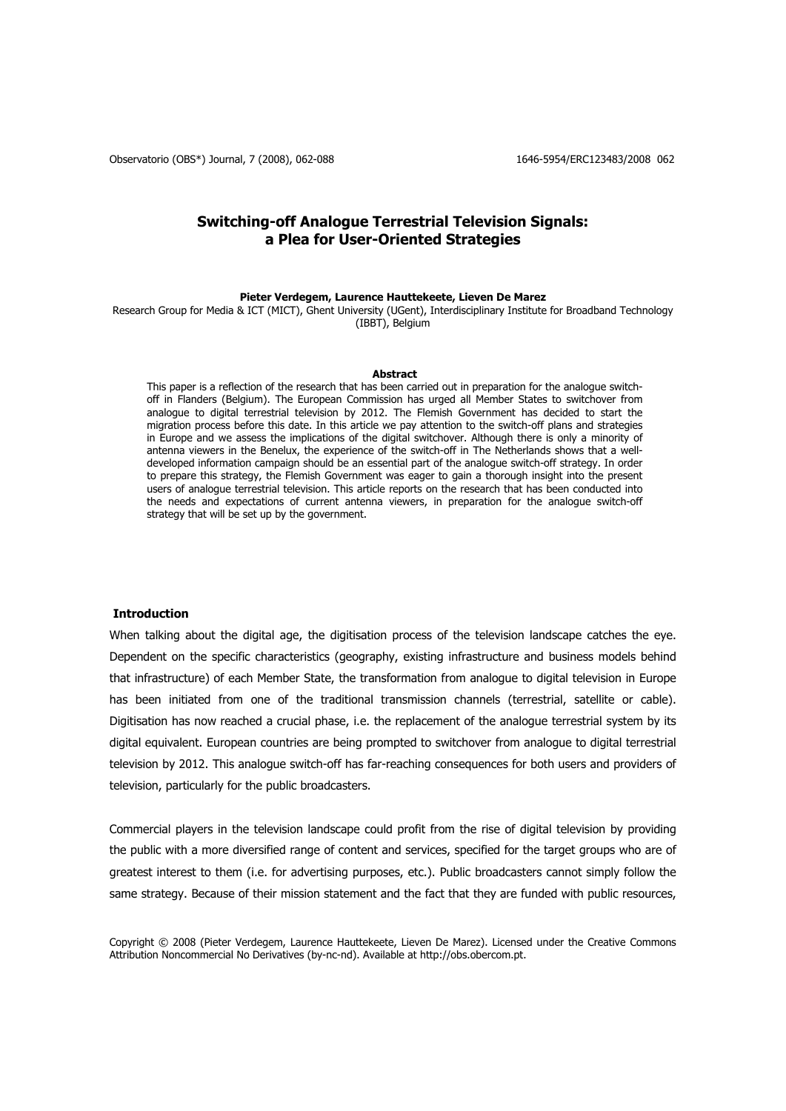Observatorio (OBS\*) Journal, 7 (2008), 062-088 1646-6954/ERC123483/2008 062

# **Switching-off Analogue Terrestrial Television Signals: a Plea for User-Oriented Strategies**

## **Pieter Verdegem, Laurence Hauttekeete, Lieven De Marez**

Research Group for Media & ICT (MICT), Ghent University (UGent), Interdisciplinary Institute for Broadband Technology (IBBT), Belgium

#### **Abstract**

This paper is a reflection of the research that has been carried out in preparation for the analogue switchoff in Flanders (Belgium). The European Commission has urged all Member States to switchover from analogue to digital terrestrial television by 2012. The Flemish Government has decided to start the migration process before this date. In this article we pay attention to the switch-off plans and strategies in Europe and we assess the implications of the digital switchover. Although there is only a minority of antenna viewers in the Benelux, the experience of the switch-off in The Netherlands shows that a welldeveloped information campaign should be an essential part of the analogue switch-off strategy. In order to prepare this strategy, the Flemish Government was eager to gain a thorough insight into the present users of analogue terrestrial television. This article reports on the research that has been conducted into the needs and expectations of current antenna viewers, in preparation for the analogue switch-off strategy that will be set up by the government.

#### **Introduction**

When talking about the digital age, the digitisation process of the television landscape catches the eye. Dependent on the specific characteristics (geography, existing infrastructure and business models behind that infrastructure) of each Member State, the transformation from analogue to digital television in Europe has been initiated from one of the traditional transmission channels (terrestrial, satellite or cable). Digitisation has now reached a crucial phase, i.e. the replacement of the analogue terrestrial system by its digital equivalent. European countries are being prompted to switchover from analogue to digital terrestrial television by 2012. This analogue switch-off has far-reaching consequences for both users and providers of television, particularly for the public broadcasters.

Commercial players in the television landscape could profit from the rise of digital television by providing the public with a more diversified range of content and services, specified for the target groups who are of greatest interest to them (i.e. for advertising purposes, etc.). Public broadcasters cannot simply follow the same strategy. Because of their mission statement and the fact that they are funded with public resources,

Copyright © 2008 (Pieter Verdegem, Laurence Hauttekeete, Lieven De Marez). Licensed under the Creative Commons Attribution Noncommercial No Derivatives (by-nc-nd). Available at http://obs.obercom.pt.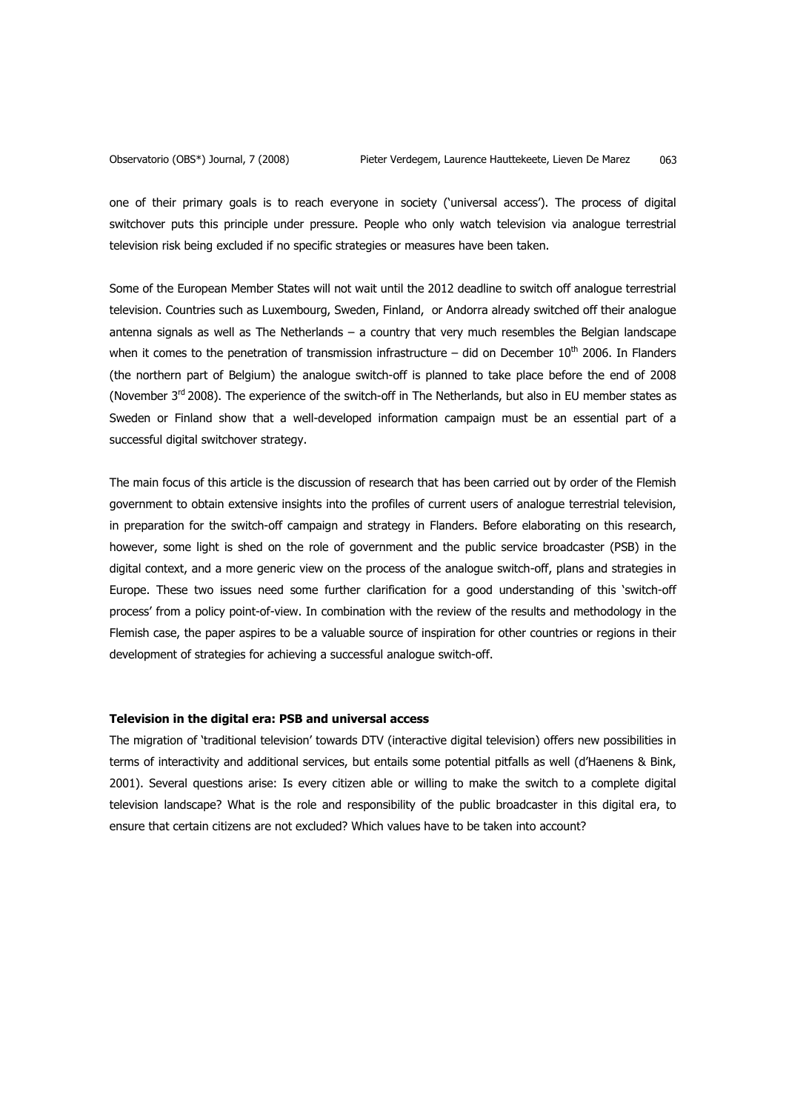one of their primary goals is to reach everyone in society ('universal access'). The process of digital switchover puts this principle under pressure. People who only watch television via analogue terrestrial television risk being excluded if no specific strategies or measures have been taken.

Some of the European Member States will not wait until the 2012 deadline to switch off analogue terrestrial television. Countries such as Luxembourg, Sweden, Finland, or Andorra already switched off their analogue antenna signals as well as The Netherlands – a country that very much resembles the Belgian landscape when it comes to the penetration of transmission infrastructure  $-$  did on December 10<sup>th</sup> 2006. In Flanders (the northern part of Belgium) the analogue switch-off is planned to take place before the end of 2008 (November 3<sup>rd</sup> 2008). The experience of the switch-off in The Netherlands, but also in EU member states as Sweden or Finland show that a well-developed information campaign must be an essential part of a successful digital switchover strategy.

The main focus of this article is the discussion of research that has been carried out by order of the Flemish government to obtain extensive insights into the profiles of current users of analogue terrestrial television, in preparation for the switch-off campaign and strategy in Flanders. Before elaborating on this research, however, some light is shed on the role of government and the public service broadcaster (PSB) in the digital context, and a more generic view on the process of the analogue switch-off, plans and strategies in Europe. These two issues need some further clarification for a good understanding of this 'switch-off process' from a policy point-of-view. In combination with the review of the results and methodology in the Flemish case, the paper aspires to be a valuable source of inspiration for other countries or regions in their development of strategies for achieving a successful analogue switch-off.

## **Television in the digital era: PSB and universal access**

The migration of 'traditional television' towards DTV (interactive digital television) offers new possibilities in terms of interactivity and additional services, but entails some potential pitfalls as well (d'Haenens & Bink, 2001). Several questions arise: Is every citizen able or willing to make the switch to a complete digital television landscape? What is the role and responsibility of the public broadcaster in this digital era, to ensure that certain citizens are not excluded? Which values have to be taken into account?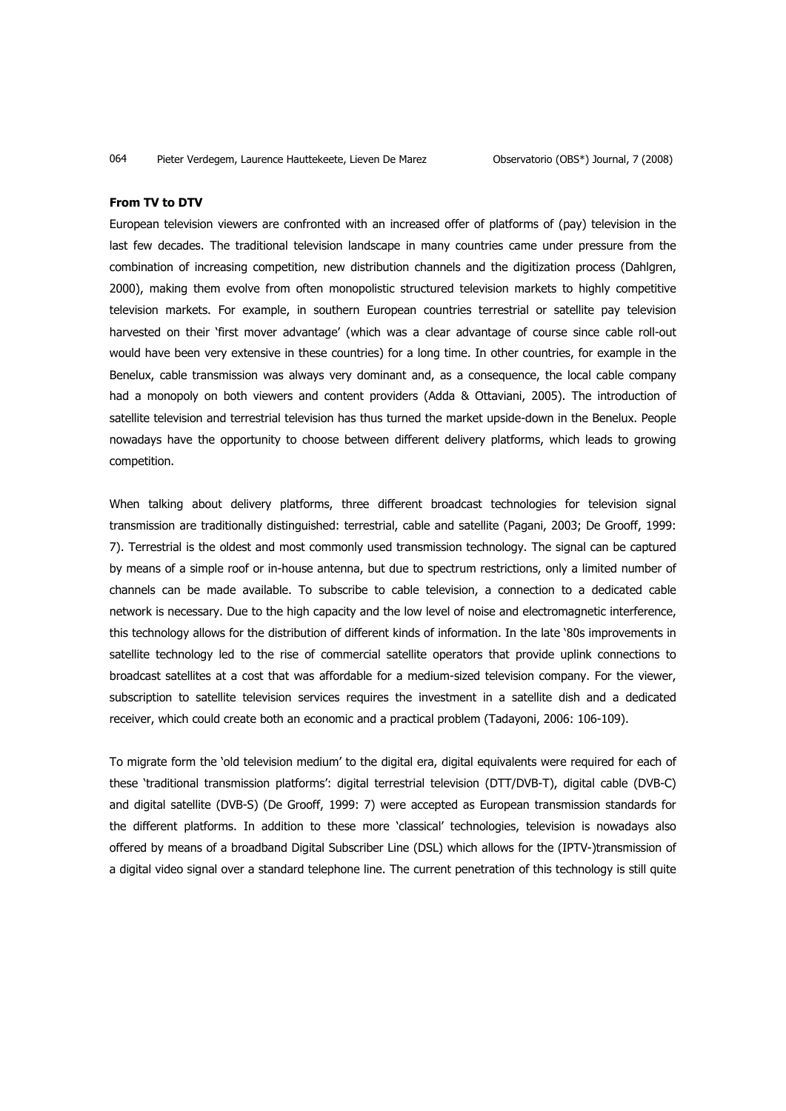#### **From TV to DTV**

European television viewers are confronted with an increased offer of platforms of (pay) television in the last few decades. The traditional television landscape in many countries came under pressure from the combination of increasing competition, new distribution channels and the digitization process (Dahlgren, 2000), making them evolve from often monopolistic structured television markets to highly competitive television markets. For example, in southern European countries terrestrial or satellite pay television harvested on their 'first mover advantage' (which was a clear advantage of course since cable roll-out would have been very extensive in these countries) for a long time. In other countries, for example in the Benelux, cable transmission was always very dominant and, as a consequence, the local cable company had a monopoly on both viewers and content providers (Adda & Ottaviani, 2005). The introduction of satellite television and terrestrial television has thus turned the market upside-down in the Benelux. People nowadays have the opportunity to choose between different delivery platforms, which leads to growing competition.

When talking about delivery platforms, three different broadcast technologies for television signal transmission are traditionally distinguished: terrestrial, cable and satellite (Pagani, 2003; De Grooff, 1999: 7). Terrestrial is the oldest and most commonly used transmission technology. The signal can be captured by means of a simple roof or in-house antenna, but due to spectrum restrictions, only a limited number of channels can be made available. To subscribe to cable television, a connection to a dedicated cable network is necessary. Due to the high capacity and the low level of noise and electromagnetic interference, this technology allows for the distribution of different kinds of information. In the late '80s improvements in satellite technology led to the rise of commercial satellite operators that provide uplink connections to broadcast satellites at a cost that was affordable for a medium-sized television company. For the viewer, subscription to satellite television services requires the investment in a satellite dish and a dedicated receiver, which could create both an economic and a practical problem (Tadayoni, 2006: 106-109).

To migrate form the 'old television medium' to the digital era, digital equivalents were required for each of these 'traditional transmission platforms': digital terrestrial television (DTT/DVB-T), digital cable (DVB-C) and digital satellite (DVB-S) (De Grooff, 1999: 7) were accepted as European transmission standards for the different platforms. In addition to these more 'classical' technologies, television is nowadays also offered by means of a broadband Digital Subscriber Line (DSL) which allows for the (IPTV-)transmission of a digital video signal over a standard telephone line. The current penetration of this technology is still quite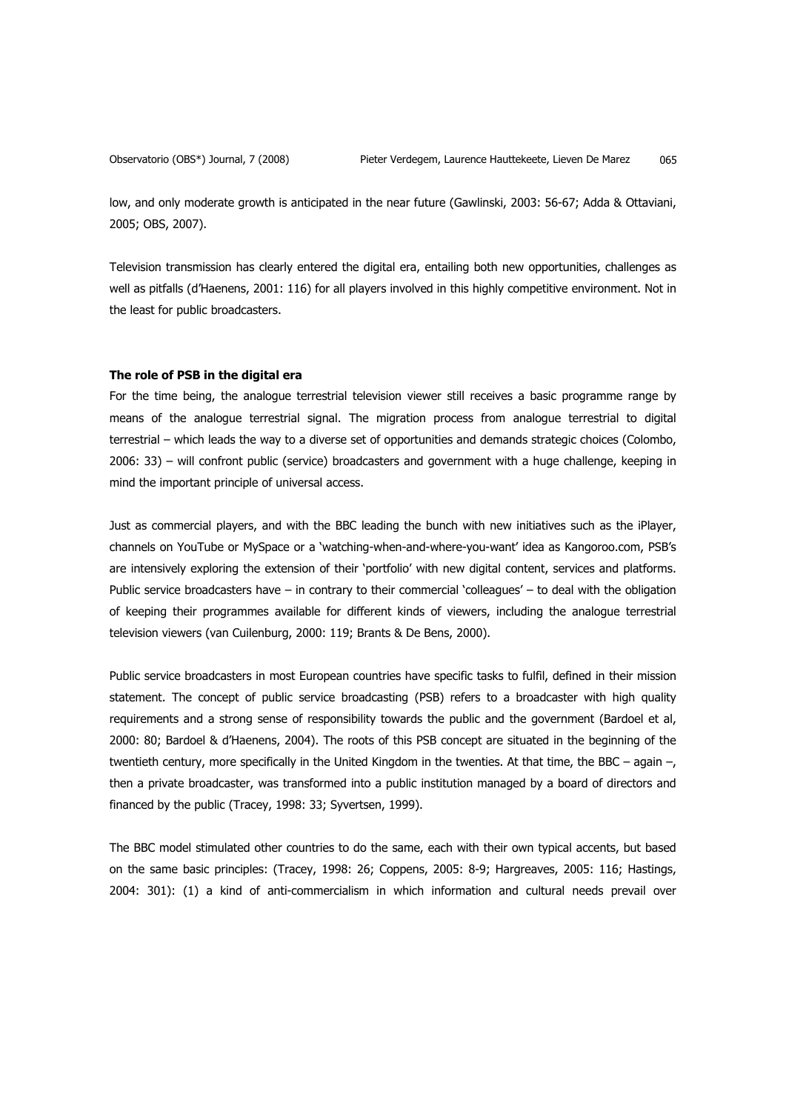low, and only moderate growth is anticipated in the near future (Gawlinski, 2003: 56-67; Adda & Ottaviani, 2005; OBS, 2007).

Television transmission has clearly entered the digital era, entailing both new opportunities, challenges as well as pitfalls (d'Haenens, 2001: 116) for all players involved in this highly competitive environment. Not in the least for public broadcasters.

#### **The role of PSB in the digital era**

For the time being, the analogue terrestrial television viewer still receives a basic programme range by means of the analogue terrestrial signal. The migration process from analogue terrestrial to digital terrestrial – which leads the way to a diverse set of opportunities and demands strategic choices (Colombo, 2006: 33) – will confront public (service) broadcasters and government with a huge challenge, keeping in mind the important principle of universal access.

Just as commercial players, and with the BBC leading the bunch with new initiatives such as the iPlayer, channels on YouTube or MySpace or a 'watching-when-and-where-you-want' idea as Kangoroo.com, PSB's are intensively exploring the extension of their 'portfolio' with new digital content, services and platforms. Public service broadcasters have – in contrary to their commercial 'colleagues' – to deal with the obligation of keeping their programmes available for different kinds of viewers, including the analogue terrestrial television viewers (van Cuilenburg, 2000: 119; Brants & De Bens, 2000).

Public service broadcasters in most European countries have specific tasks to fulfil, defined in their mission statement. The concept of public service broadcasting (PSB) refers to a broadcaster with high quality requirements and a strong sense of responsibility towards the public and the government (Bardoel et al, 2000: 80; Bardoel & d'Haenens, 2004). The roots of this PSB concept are situated in the beginning of the twentieth century, more specifically in the United Kingdom in the twenties. At that time, the BBC – again –, then a private broadcaster, was transformed into a public institution managed by a board of directors and financed by the public (Tracey, 1998: 33; Syvertsen, 1999).

The BBC model stimulated other countries to do the same, each with their own typical accents, but based on the same basic principles: (Tracey, 1998: 26; Coppens, 2005: 8-9; Hargreaves, 2005: 116; Hastings, 2004: 301): (1) a kind of anti-commercialism in which information and cultural needs prevail over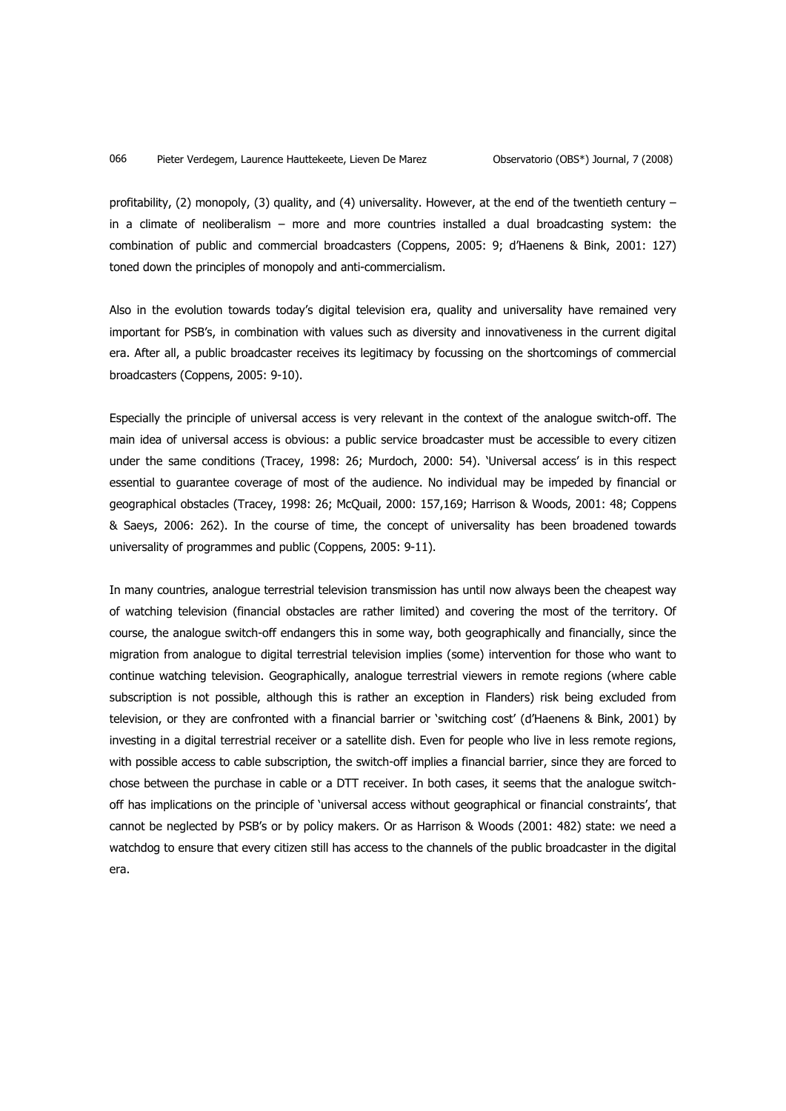profitability, (2) monopoly, (3) quality, and (4) universality. However, at the end of the twentieth century  $$ in a climate of neoliberalism – more and more countries installed a dual broadcasting system: the combination of public and commercial broadcasters (Coppens, 2005: 9; d'Haenens & Bink, 2001: 127) toned down the principles of monopoly and anti-commercialism.

Also in the evolution towards today's digital television era, quality and universality have remained very important for PSB's, in combination with values such as diversity and innovativeness in the current digital era. After all, a public broadcaster receives its legitimacy by focussing on the shortcomings of commercial broadcasters (Coppens, 2005: 9-10).

Especially the principle of universal access is very relevant in the context of the analogue switch-off. The main idea of universal access is obvious: a public service broadcaster must be accessible to every citizen under the same conditions (Tracey, 1998: 26; Murdoch, 2000: 54). 'Universal access' is in this respect essential to guarantee coverage of most of the audience. No individual may be impeded by financial or geographical obstacles (Tracey, 1998: 26; McQuail, 2000: 157,169; Harrison & Woods, 2001: 48; Coppens & Saeys, 2006: 262). In the course of time, the concept of universality has been broadened towards universality of programmes and public (Coppens, 2005: 9-11).

In many countries, analogue terrestrial television transmission has until now always been the cheapest way of watching television (financial obstacles are rather limited) and covering the most of the territory. Of course, the analogue switch-off endangers this in some way, both geographically and financially, since the migration from analogue to digital terrestrial television implies (some) intervention for those who want to continue watching television. Geographically, analogue terrestrial viewers in remote regions (where cable subscription is not possible, although this is rather an exception in Flanders) risk being excluded from television, or they are confronted with a financial barrier or 'switching cost' (d'Haenens & Bink, 2001) by investing in a digital terrestrial receiver or a satellite dish. Even for people who live in less remote regions, with possible access to cable subscription, the switch-off implies a financial barrier, since they are forced to chose between the purchase in cable or a DTT receiver. In both cases, it seems that the analogue switchoff has implications on the principle of 'universal access without geographical or financial constraints', that cannot be neglected by PSB's or by policy makers. Or as Harrison & Woods (2001: 482) state: we need a watchdog to ensure that every citizen still has access to the channels of the public broadcaster in the digital era.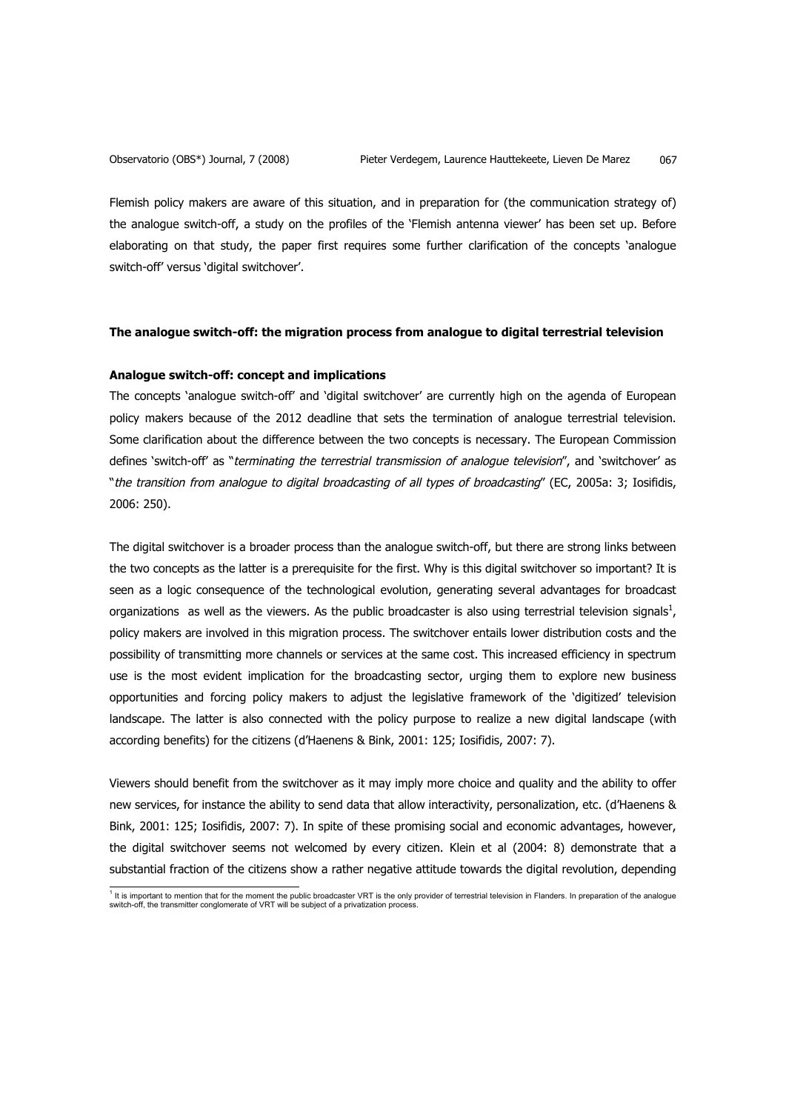Flemish policy makers are aware of this situation, and in preparation for (the communication strategy of) the analogue switch-off, a study on the profiles of the 'Flemish antenna viewer' has been set up. Before elaborating on that study, the paper first requires some further clarification of the concepts 'analogue switch-off' versus 'digital switchover'.

#### **The analogue switch-off: the migration process from analogue to digital terrestrial television**

#### **Analogue switch-off: concept and implications**

The concepts 'analogue switch-off' and 'digital switchover' are currently high on the agenda of European policy makers because of the 2012 deadline that sets the termination of analogue terrestrial television. Some clarification about the difference between the two concepts is necessary. The European Commission defines 'switch-off' as "terminating the terrestrial transmission of analogue television", and 'switchover' as "the transition from analogue to digital broadcasting of all types of broadcasting" (EC, 2005a: 3; Iosifidis, 2006: 250).

The digital switchover is a broader process than the analogue switch-off, but there are strong links between the two concepts as the latter is a prerequisite for the first. Why is this digital switchover so important? It is seen as a logic consequence of the technological evolution, generating several advantages for broadcast organizations as well as the viewers. As the public broadcaster is also using terrestrial television signals<sup>1</sup>, policy makers are involved in this migration process. The switchover entails lower distribution costs and the possibility of transmitting more channels or services at the same cost. This increased efficiency in spectrum use is the most evident implication for the broadcasting sector, urging them to explore new business opportunities and forcing policy makers to adjust the legislative framework of the 'digitized' television landscape. The latter is also connected with the policy purpose to realize a new digital landscape (with according benefits) for the citizens (d'Haenens & Bink, 2001: 125; Iosifidis, 2007: 7).

Viewers should benefit from the switchover as it may imply more choice and quality and the ability to offer new services, for instance the ability to send data that allow interactivity, personalization, etc. (d'Haenens & Bink, 2001: 125; Iosifidis, 2007: 7). In spite of these promising social and economic advantages, however, the digital switchover seems not welcomed by every citizen. Klein et al (2004: 8) demonstrate that a substantial fraction of the citizens show a rather negative attitude towards the digital revolution, depending

<sup>1&</sup>lt;br>This important to mention that for the moment the public broadcaster VRT is the only provider of terrestrial television in Flanders. In preparation of the analogue<br>switch-off, the transmitter conglomerate of VRT will be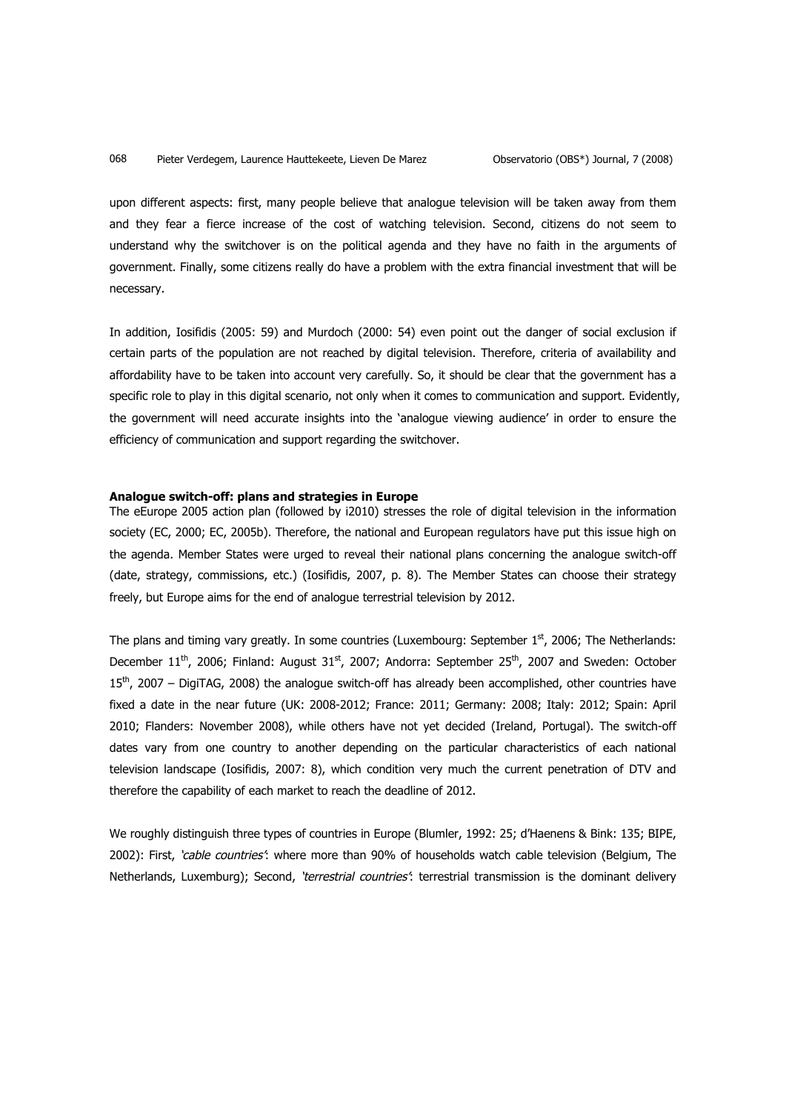upon different aspects: first, many people believe that analogue television will be taken away from them and they fear a fierce increase of the cost of watching television. Second, citizens do not seem to understand why the switchover is on the political agenda and they have no faith in the arguments of government. Finally, some citizens really do have a problem with the extra financial investment that will be necessary.

In addition, Iosifidis (2005: 59) and Murdoch (2000: 54) even point out the danger of social exclusion if certain parts of the population are not reached by digital television. Therefore, criteria of availability and affordability have to be taken into account very carefully. So, it should be clear that the government has a specific role to play in this digital scenario, not only when it comes to communication and support. Evidently, the government will need accurate insights into the 'analogue viewing audience' in order to ensure the efficiency of communication and support regarding the switchover.

## **Analogue switch-off: plans and strategies in Europe**

The eEurope 2005 action plan (followed by i2010) stresses the role of digital television in the information society (EC, 2000; EC, 2005b). Therefore, the national and European regulators have put this issue high on the agenda. Member States were urged to reveal their national plans concerning the analogue switch-off (date, strategy, commissions, etc.) (Iosifidis, 2007, p. 8). The Member States can choose their strategy freely, but Europe aims for the end of analogue terrestrial television by 2012.

The plans and timing vary greatly. In some countries (Luxembourg: September  $1^{st}$ , 2006; The Netherlands: December  $11^{th}$ , 2006; Finland: August  $31^{st}$ , 2007; Andorra: September  $25^{th}$ , 2007 and Sweden: October 15<sup>th</sup>, 2007 – DigiTAG, 2008) the analogue switch-off has already been accomplished, other countries have fixed a date in the near future (UK: 2008-2012; France: 2011; Germany: 2008; Italy: 2012; Spain: April 2010; Flanders: November 2008), while others have not yet decided (Ireland, Portugal). The switch-off dates vary from one country to another depending on the particular characteristics of each national television landscape (Iosifidis, 2007: 8), which condition very much the current penetration of DTV and therefore the capability of each market to reach the deadline of 2012.

We roughly distinguish three types of countries in Europe (Blumler, 1992: 25; d'Haenens & Bink: 135; BIPE, 2002): First, 'cable countries': where more than 90% of households watch cable television (Belgium, The Netherlands, Luxemburg); Second, 'terrestrial countries': terrestrial transmission is the dominant delivery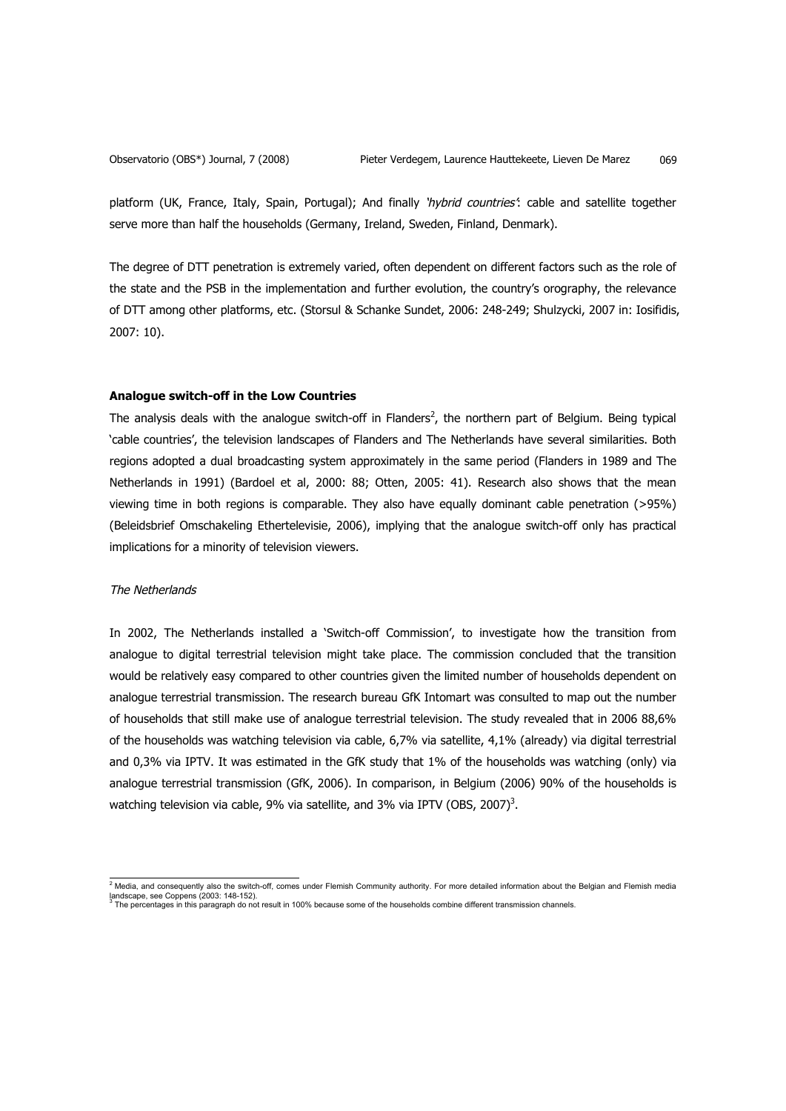platform (UK, France, Italy, Spain, Portugal); And finally 'hybrid countries': cable and satellite together serve more than half the households (Germany, Ireland, Sweden, Finland, Denmark).

The degree of DTT penetration is extremely varied, often dependent on different factors such as the role of the state and the PSB in the implementation and further evolution, the country's orography, the relevance of DTT among other platforms, etc. (Storsul & Schanke Sundet, 2006: 248-249; Shulzycki, 2007 in: Iosifidis, 2007: 10).

## **Analogue switch-off in the Low Countries**

The analysis deals with the analogue switch-off in Flanders<sup>2</sup>, the northern part of Belgium. Being typical 'cable countries', the television landscapes of Flanders and The Netherlands have several similarities. Both regions adopted a dual broadcasting system approximately in the same period (Flanders in 1989 and The Netherlands in 1991) (Bardoel et al, 2000: 88; Otten, 2005: 41). Research also shows that the mean viewing time in both regions is comparable. They also have equally dominant cable penetration (>95%) (Beleidsbrief Omschakeling Ethertelevisie, 2006), implying that the analogue switch-off only has practical implications for a minority of television viewers.

## The Netherlands

In 2002, The Netherlands installed a 'Switch-off Commission', to investigate how the transition from analogue to digital terrestrial television might take place. The commission concluded that the transition would be relatively easy compared to other countries given the limited number of households dependent on analogue terrestrial transmission. The research bureau GfK Intomart was consulted to map out the number of households that still make use of analogue terrestrial television. The study revealed that in 2006 88,6% of the households was watching television via cable, 6,7% via satellite, 4,1% (already) via digital terrestrial and 0,3% via IPTV. It was estimated in the GfK study that 1% of the households was watching (only) via analogue terrestrial transmission (GfK, 2006). In comparison, in Belgium (2006) 90% of the households is watching television via cable, 9% via satellite, and 3% via IPTV (OBS, 2007)<sup>3</sup>.

2 Media, and consequently also the switch-off, comes under Flemish Community authority. For more detailed information about the Belgian and Flemish media landscape, see Coppens (2003: 148-152).<br><sup>3</sup> The percentages in this paragraph do not result in 100% because some of the households combine different transmission channels.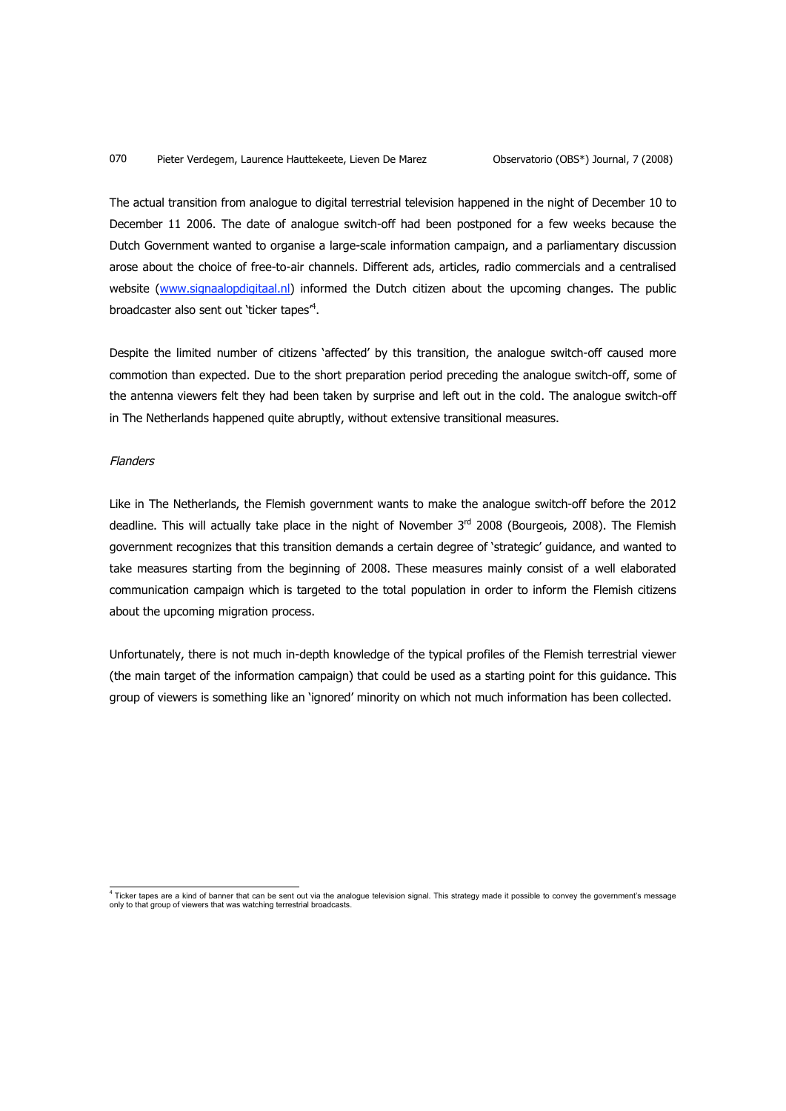The actual transition from analogue to digital terrestrial television happened in the night of December 10 to December 11 2006. The date of analogue switch-off had been postponed for a few weeks because the Dutch Government wanted to organise a large-scale information campaign, and a parliamentary discussion arose about the choice of free-to-air channels. Different ads, articles, radio commercials and a centralised website (www.signaalopdigitaal.nl) informed the Dutch citizen about the upcoming changes. The public broadcaster also sent out 'ticker tapes<sup>"4</sup>.

Despite the limited number of citizens 'affected' by this transition, the analogue switch-off caused more commotion than expected. Due to the short preparation period preceding the analogue switch-off, some of the antenna viewers felt they had been taken by surprise and left out in the cold. The analogue switch-off in The Netherlands happened quite abruptly, without extensive transitional measures.

# Flanders

Like in The Netherlands, the Flemish government wants to make the analogue switch-off before the 2012 deadline. This will actually take place in the night of November 3<sup>rd</sup> 2008 (Bourgeois, 2008). The Flemish government recognizes that this transition demands a certain degree of 'strategic' guidance, and wanted to take measures starting from the beginning of 2008. These measures mainly consist of a well elaborated communication campaign which is targeted to the total population in order to inform the Flemish citizens about the upcoming migration process.

Unfortunately, there is not much in-depth knowledge of the typical profiles of the Flemish terrestrial viewer (the main target of the information campaign) that could be used as a starting point for this guidance. This group of viewers is something like an 'ignored' minority on which not much information has been collected.

<sup>4&</sup>lt;br>Ticker tapes are a kind of banner that can be sent out via the analogue television signal. This strategy made it possible to convey the government's message<br>only to that group of viewers that was watching terrestrial bro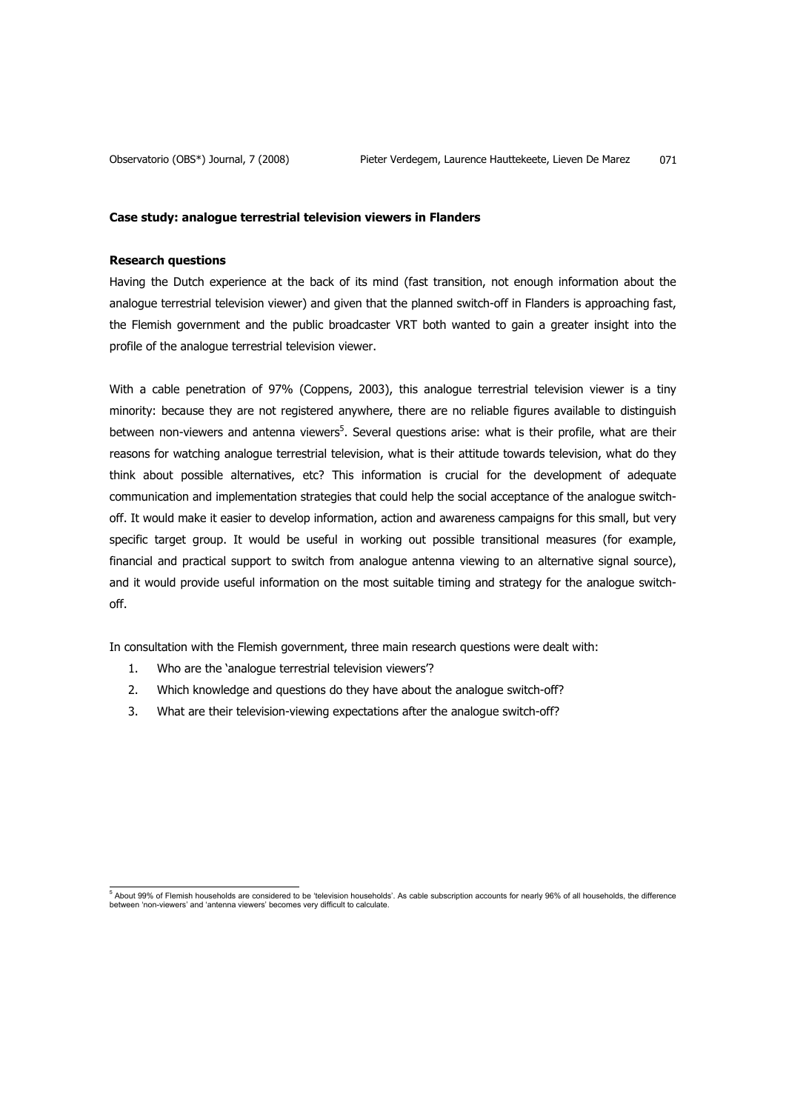#### **Case study: analogue terrestrial television viewers in Flanders**

## **Research questions**

Having the Dutch experience at the back of its mind (fast transition, not enough information about the analogue terrestrial television viewer) and given that the planned switch-off in Flanders is approaching fast, the Flemish government and the public broadcaster VRT both wanted to gain a greater insight into the profile of the analogue terrestrial television viewer.

With a cable penetration of 97% (Coppens, 2003), this analogue terrestrial television viewer is a tiny minority: because they are not registered anywhere, there are no reliable figures available to distinguish between non-viewers and antenna viewers<sup>5</sup>. Several questions arise: what is their profile, what are their reasons for watching analogue terrestrial television, what is their attitude towards television, what do they think about possible alternatives, etc? This information is crucial for the development of adequate communication and implementation strategies that could help the social acceptance of the analogue switchoff. It would make it easier to develop information, action and awareness campaigns for this small, but very specific target group. It would be useful in working out possible transitional measures (for example, financial and practical support to switch from analogue antenna viewing to an alternative signal source), and it would provide useful information on the most suitable timing and strategy for the analogue switchoff.

In consultation with the Flemish government, three main research questions were dealt with:

- 1. Who are the 'analogue terrestrial television viewers'?
- 2. Which knowledge and questions do they have about the analogue switch-off?
- 3. What are their television-viewing expectations after the analogue switch-off?

<sup>&</sup>lt;sup>5</sup> About 99% of Flemish households are considered to be 'television households'. As cable subscription accounts for nearly 96% of all households, the difference<br>between 'non-viewers' and 'antenna viewers' becomes very di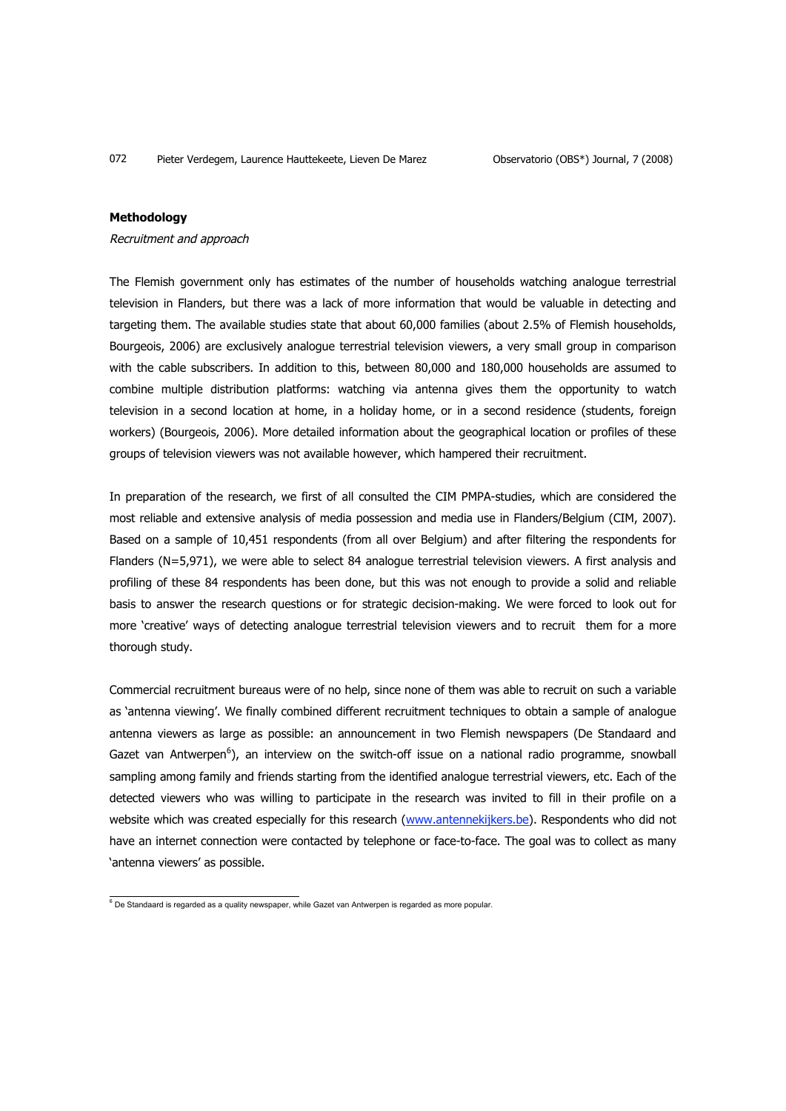## **Methodology**

#### Recruitment and approach

The Flemish government only has estimates of the number of households watching analogue terrestrial television in Flanders, but there was a lack of more information that would be valuable in detecting and targeting them. The available studies state that about 60,000 families (about 2.5% of Flemish households, Bourgeois, 2006) are exclusively analogue terrestrial television viewers, a very small group in comparison with the cable subscribers. In addition to this, between 80,000 and 180,000 households are assumed to combine multiple distribution platforms: watching via antenna gives them the opportunity to watch television in a second location at home, in a holiday home, or in a second residence (students, foreign workers) (Bourgeois, 2006). More detailed information about the geographical location or profiles of these groups of television viewers was not available however, which hampered their recruitment.

In preparation of the research, we first of all consulted the CIM PMPA-studies, which are considered the most reliable and extensive analysis of media possession and media use in Flanders/Belgium (CIM, 2007). Based on a sample of 10,451 respondents (from all over Belgium) and after filtering the respondents for Flanders (N=5,971), we were able to select 84 analogue terrestrial television viewers. A first analysis and profiling of these 84 respondents has been done, but this was not enough to provide a solid and reliable basis to answer the research questions or for strategic decision-making. We were forced to look out for more 'creative' ways of detecting analogue terrestrial television viewers and to recruit them for a more thorough study.

Commercial recruitment bureaus were of no help, since none of them was able to recruit on such a variable as 'antenna viewing'. We finally combined different recruitment techniques to obtain a sample of analogue antenna viewers as large as possible: an announcement in two Flemish newspapers (De Standaard and Gazet van Antwerpen<sup>6</sup>), an interview on the switch-off issue on a national radio programme, snowball sampling among family and friends starting from the identified analogue terrestrial viewers, etc. Each of the detected viewers who was willing to participate in the research was invited to fill in their profile on a website which was created especially for this research (www.antennekijkers.be). Respondents who did not have an internet connection were contacted by telephone or face-to-face. The goal was to collect as many 'antenna viewers' as possible.

e<br><sup>6</sup> De Standaard is regarded as a quality newspaper, while Gazet van Antwerpen is regarded as more popular.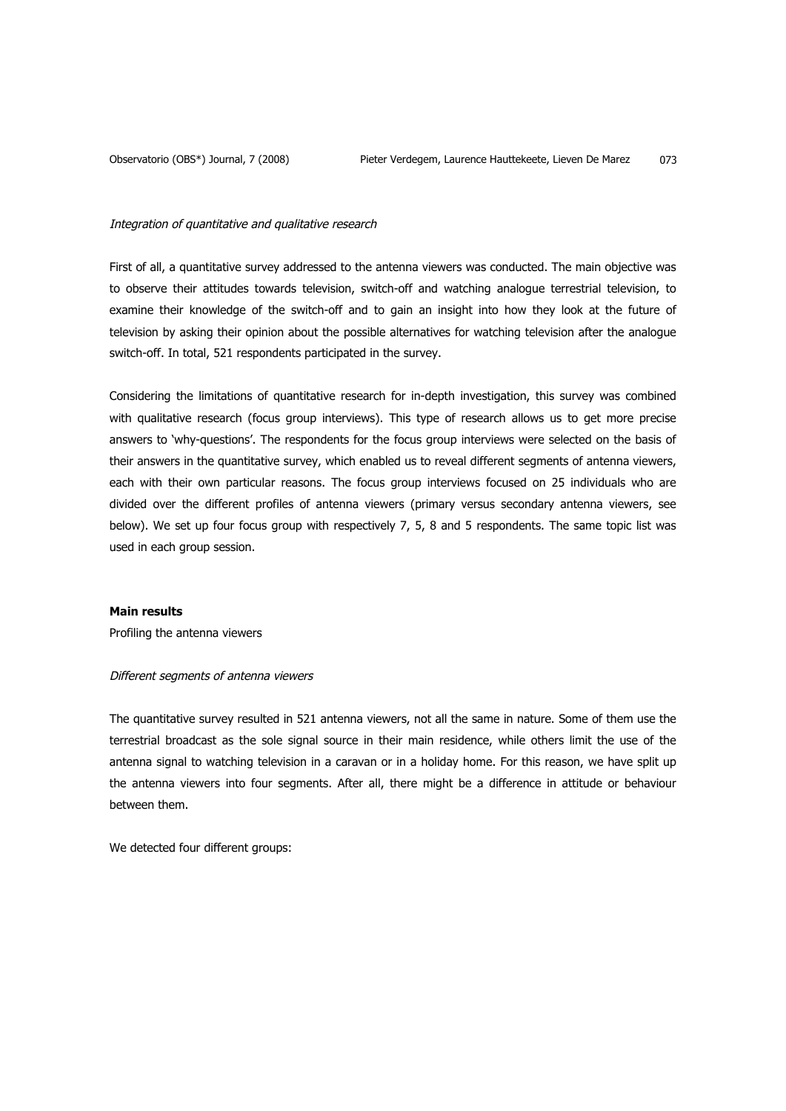#### Integration of quantitative and qualitative research

First of all, a quantitative survey addressed to the antenna viewers was conducted. The main objective was to observe their attitudes towards television, switch-off and watching analogue terrestrial television, to examine their knowledge of the switch-off and to gain an insight into how they look at the future of television by asking their opinion about the possible alternatives for watching television after the analogue switch-off. In total, 521 respondents participated in the survey.

Considering the limitations of quantitative research for in-depth investigation, this survey was combined with qualitative research (focus group interviews). This type of research allows us to get more precise answers to 'why-questions'. The respondents for the focus group interviews were selected on the basis of their answers in the quantitative survey, which enabled us to reveal different segments of antenna viewers, each with their own particular reasons. The focus group interviews focused on 25 individuals who are divided over the different profiles of antenna viewers (primary versus secondary antenna viewers, see below). We set up four focus group with respectively 7, 5, 8 and 5 respondents. The same topic list was used in each group session.

#### **Main results**

Profiling the antenna viewers

#### Different segments of antenna viewers

The quantitative survey resulted in 521 antenna viewers, not all the same in nature. Some of them use the terrestrial broadcast as the sole signal source in their main residence, while others limit the use of the antenna signal to watching television in a caravan or in a holiday home. For this reason, we have split up the antenna viewers into four segments. After all, there might be a difference in attitude or behaviour between them.

We detected four different groups: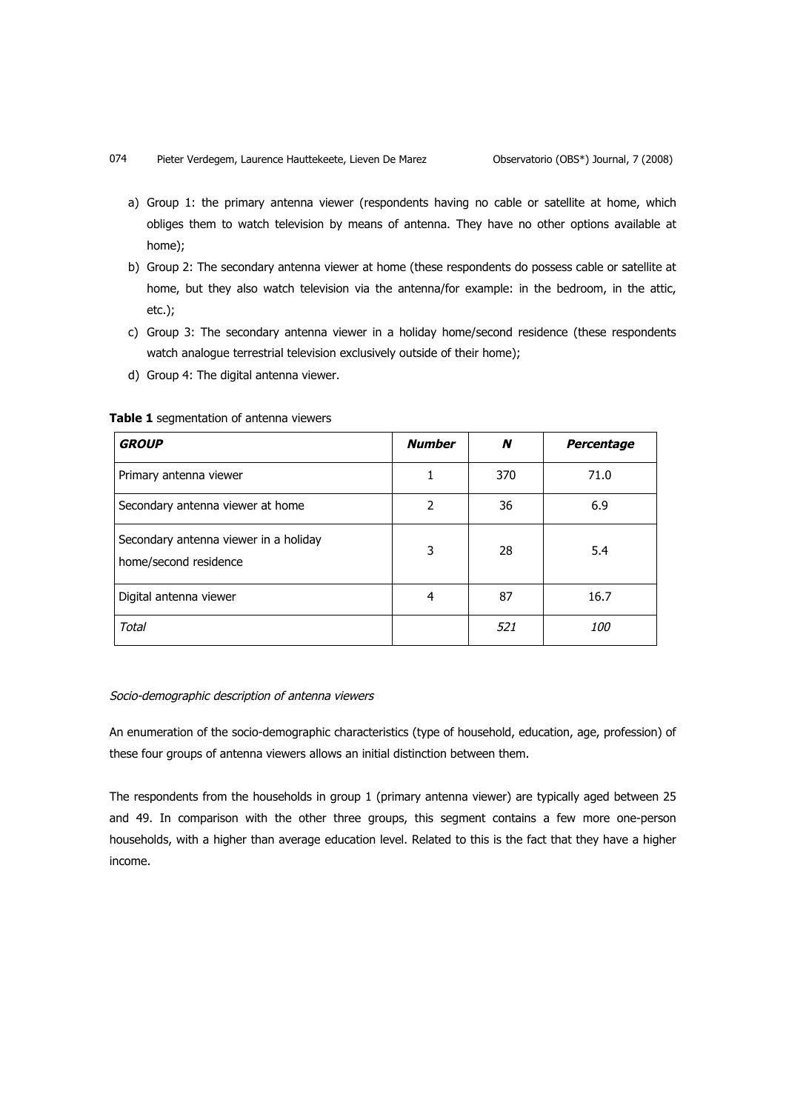074 Pieter Verdegem, Laurence Hauttekeete, Lieven De Marez Observatorio (OBS\*) Journal, 7 (2008)

- a) Group 1: the primary antenna viewer (respondents having no cable or satellite at home, which obliges them to watch television by means of antenna. They have no other options available at home);
- b) Group 2: The secondary antenna viewer at home (these respondents do possess cable or satellite at home, but they also watch television via the antenna/for example: in the bedroom, in the attic, etc.);
- c) Group 3: The secondary antenna viewer in a holiday home/second residence (these respondents watch analogue terrestrial television exclusively outside of their home);
- d) Group 4: The digital antenna viewer.

#### **Table 1** segmentation of antenna viewers

| <b>GROUP</b>                                                   | <b>Number</b> | N   | <b>Percentage</b> |
|----------------------------------------------------------------|---------------|-----|-------------------|
| Primary antenna viewer                                         |               | 370 | 71.0              |
| Secondary antenna viewer at home                               | 2             | 36  | 6.9               |
| Secondary antenna viewer in a holiday<br>home/second residence | 3             | 28  | 5.4               |
| Digital antenna viewer                                         | 4             | 87  | 16.7              |
| Total                                                          |               | 521 | <i>100</i>        |

#### Socio-demographic description of antenna viewers

An enumeration of the socio-demographic characteristics (type of household, education, age, profession) of these four groups of antenna viewers allows an initial distinction between them.

The respondents from the households in group 1 (primary antenna viewer) are typically aged between 25 and 49. In comparison with the other three groups, this segment contains a few more one-person households, with a higher than average education level. Related to this is the fact that they have a higher income.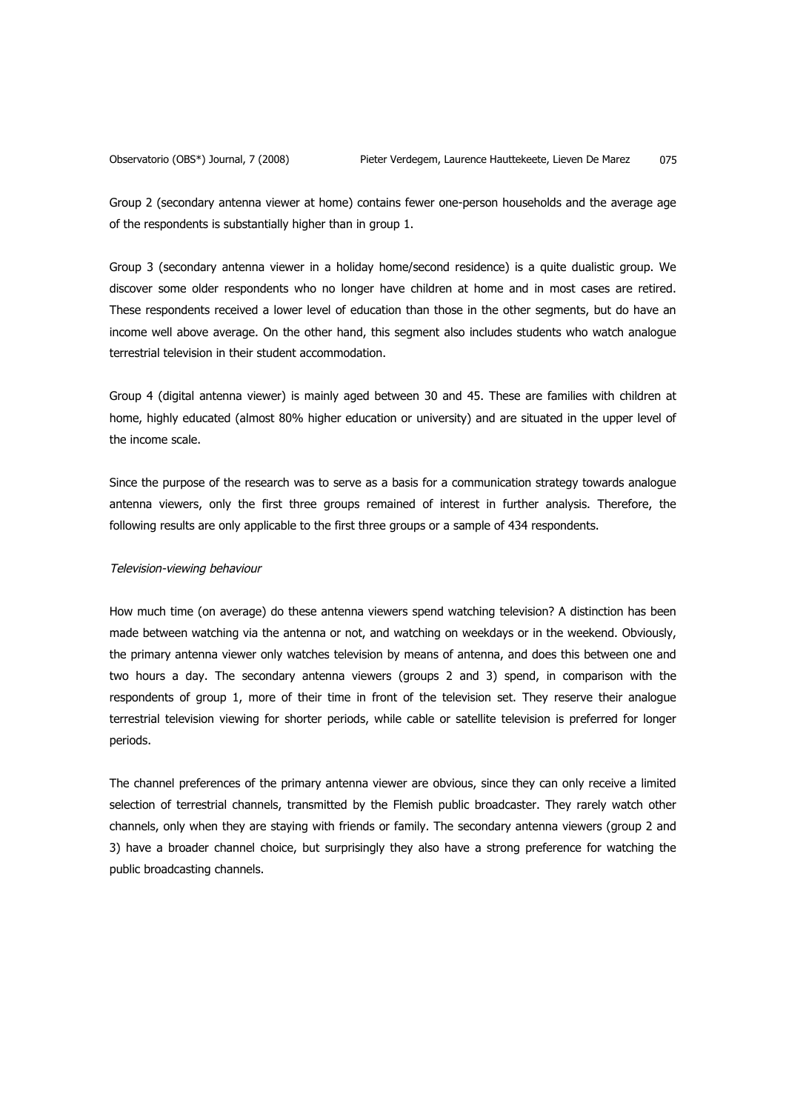Group 2 (secondary antenna viewer at home) contains fewer one-person households and the average age of the respondents is substantially higher than in group 1.

Group 3 (secondary antenna viewer in a holiday home/second residence) is a quite dualistic group. We discover some older respondents who no longer have children at home and in most cases are retired. These respondents received a lower level of education than those in the other segments, but do have an income well above average. On the other hand, this segment also includes students who watch analogue terrestrial television in their student accommodation.

Group 4 (digital antenna viewer) is mainly aged between 30 and 45. These are families with children at home, highly educated (almost 80% higher education or university) and are situated in the upper level of the income scale.

Since the purpose of the research was to serve as a basis for a communication strategy towards analogue antenna viewers, only the first three groups remained of interest in further analysis. Therefore, the following results are only applicable to the first three groups or a sample of 434 respondents.

#### Television-viewing behaviour

How much time (on average) do these antenna viewers spend watching television? A distinction has been made between watching via the antenna or not, and watching on weekdays or in the weekend. Obviously, the primary antenna viewer only watches television by means of antenna, and does this between one and two hours a day. The secondary antenna viewers (groups 2 and 3) spend, in comparison with the respondents of group 1, more of their time in front of the television set. They reserve their analogue terrestrial television viewing for shorter periods, while cable or satellite television is preferred for longer periods.

The channel preferences of the primary antenna viewer are obvious, since they can only receive a limited selection of terrestrial channels, transmitted by the Flemish public broadcaster. They rarely watch other channels, only when they are staying with friends or family. The secondary antenna viewers (group 2 and 3) have a broader channel choice, but surprisingly they also have a strong preference for watching the public broadcasting channels.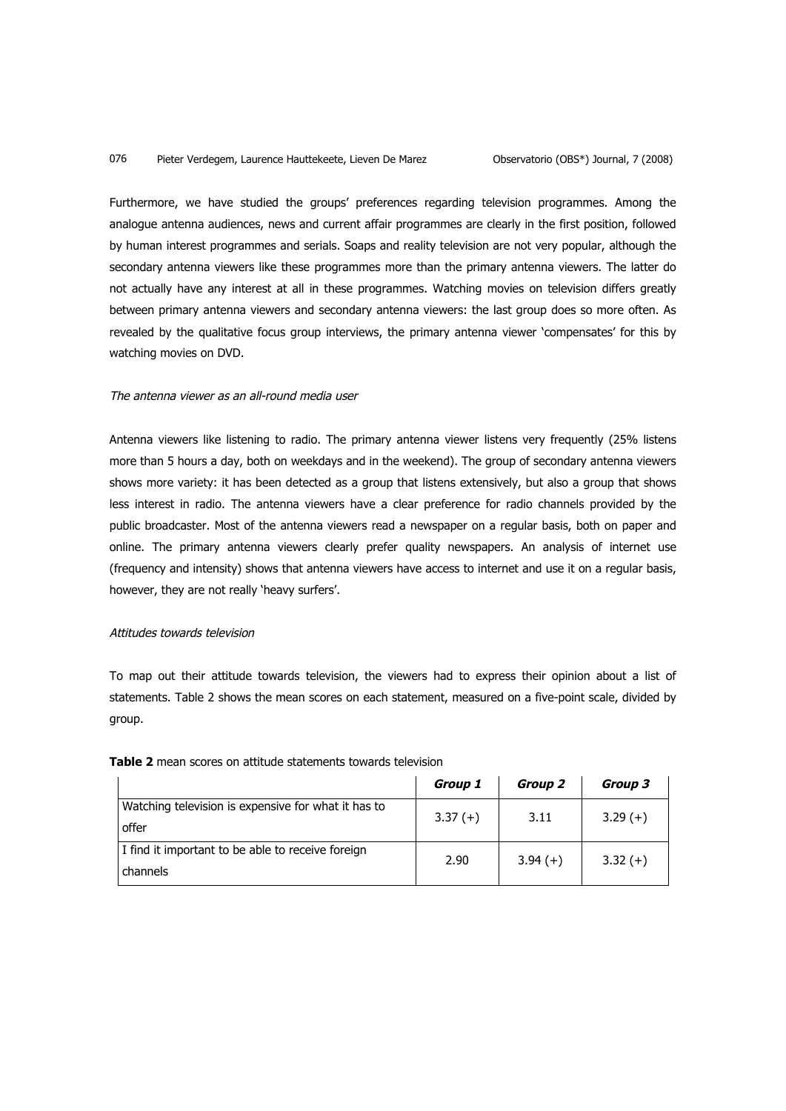#### 076 Pieter Verdegem, Laurence Hauttekeete, Lieven De Marez Observatorio (OBS\*) Journal, 7 (2008)

Furthermore, we have studied the groups' preferences regarding television programmes. Among the analogue antenna audiences, news and current affair programmes are clearly in the first position, followed by human interest programmes and serials. Soaps and reality television are not very popular, although the secondary antenna viewers like these programmes more than the primary antenna viewers. The latter do not actually have any interest at all in these programmes. Watching movies on television differs greatly between primary antenna viewers and secondary antenna viewers: the last group does so more often. As revealed by the qualitative focus group interviews, the primary antenna viewer 'compensates' for this by watching movies on DVD.

## The antenna viewer as an all-round media user

Antenna viewers like listening to radio. The primary antenna viewer listens very frequently (25% listens more than 5 hours a day, both on weekdays and in the weekend). The group of secondary antenna viewers shows more variety: it has been detected as a group that listens extensively, but also a group that shows less interest in radio. The antenna viewers have a clear preference for radio channels provided by the public broadcaster. Most of the antenna viewers read a newspaper on a regular basis, both on paper and online. The primary antenna viewers clearly prefer quality newspapers. An analysis of internet use (frequency and intensity) shows that antenna viewers have access to internet and use it on a regular basis, however, they are not really 'heavy surfers'.

## Attitudes towards television

To map out their attitude towards television, the viewers had to express their opinion about a list of statements. Table 2 shows the mean scores on each statement, measured on a five-point scale, divided by group.

|                                                               | Group 1   | Group 2   | Group 3   |
|---------------------------------------------------------------|-----------|-----------|-----------|
| Watching television is expensive for what it has to<br>offer  | $3.37(+)$ | 3.11      | $3.29(+)$ |
| I find it important to be able to receive foreign<br>channels | 2.90      | $3.94(+)$ | $3.32(+)$ |

#### **Table 2** mean scores on attitude statements towards television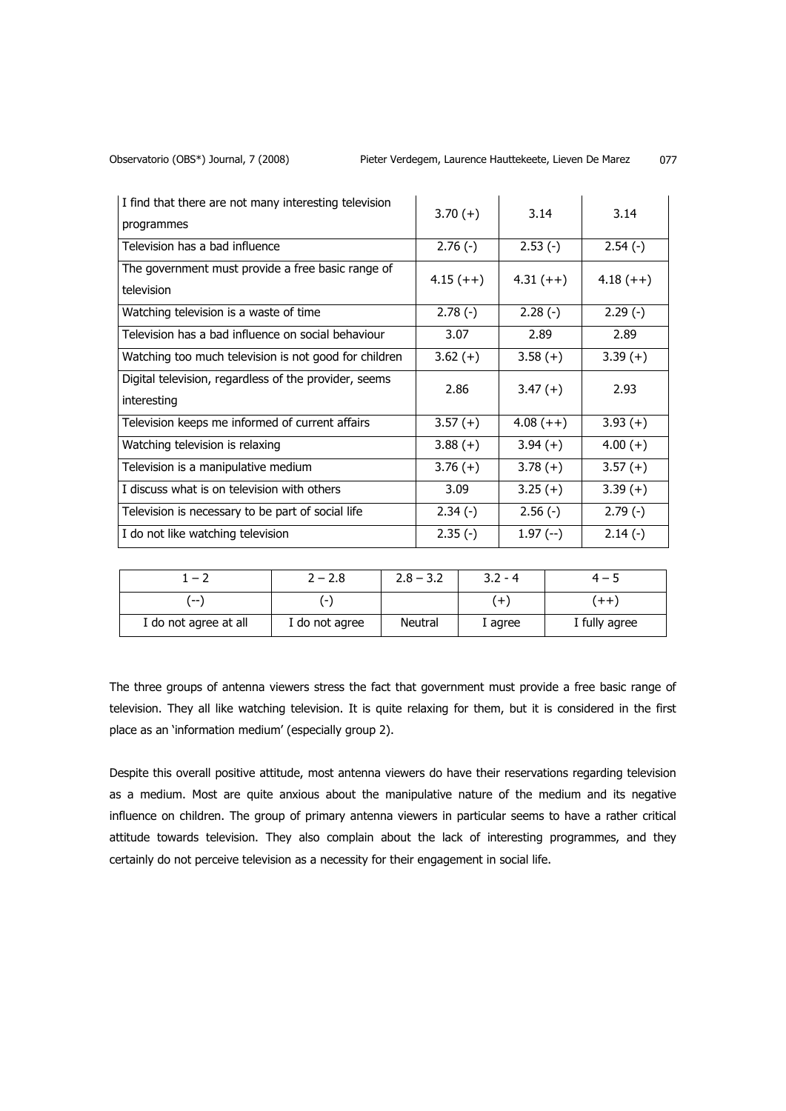| I find that there are not many interesting television<br>programmes  | $3.70(+)$   | 3.14        | 3.14        |
|----------------------------------------------------------------------|-------------|-------------|-------------|
| Television has a bad influence                                       | $2.76(-)$   | $2.53(-)$   | $2.54(-)$   |
| The government must provide a free basic range of<br>television      | $4.15 (++)$ | $4.31 (++)$ | $4.18 (++)$ |
| Watching television is a waste of time                               | $2.78(-)$   | $2.28(-)$   | $2.29(-)$   |
| Television has a bad influence on social behaviour                   | 3.07        | 2.89        | 2.89        |
| Watching too much television is not good for children                | $3.62 (+)$  | $3.58(+)$   | $3.39(+)$   |
| Digital television, regardless of the provider, seems<br>interesting | 2.86        | $3.47(+)$   | 2.93        |
| Television keeps me informed of current affairs                      | $3.57(+)$   | $4.08 (++)$ | $3.93(+)$   |
| Watching television is relaxing                                      | $3.88(+)$   | $3.94(+)$   | $4.00(+)$   |
| Television is a manipulative medium                                  | $3.76(+)$   | $3.78(+)$   | $3.57(+)$   |
| I discuss what is on television with others                          | 3.09        | $3.25(+)$   | $3.39(+)$   |
| Television is necessary to be part of social life                    | $2.34(-)$   | $2.56(-)$   | $2.79(-)$   |
| I do not like watching television                                    | $2.35(-)$   | $1.97(-)$   | $2.14(-)$   |

| $1 - \lambda$         | 2 – 2.8                  | $2.8 - 3.2$ | $3.2 - 4$ |                 |
|-----------------------|--------------------------|-------------|-----------|-----------------|
| $- -$                 | $\overline{\phantom{a}}$ |             | $^{+}$    | $^{\mathrm{+}}$ |
| I do not agree at all | I do not agree           | Neutral     | I agree   | I fully agree   |

The three groups of antenna viewers stress the fact that government must provide a free basic range of television. They all like watching television. It is quite relaxing for them, but it is considered in the first place as an 'information medium' (especially group 2).

Despite this overall positive attitude, most antenna viewers do have their reservations regarding television as a medium. Most are quite anxious about the manipulative nature of the medium and its negative influence on children. The group of primary antenna viewers in particular seems to have a rather critical attitude towards television. They also complain about the lack of interesting programmes, and they certainly do not perceive television as a necessity for their engagement in social life.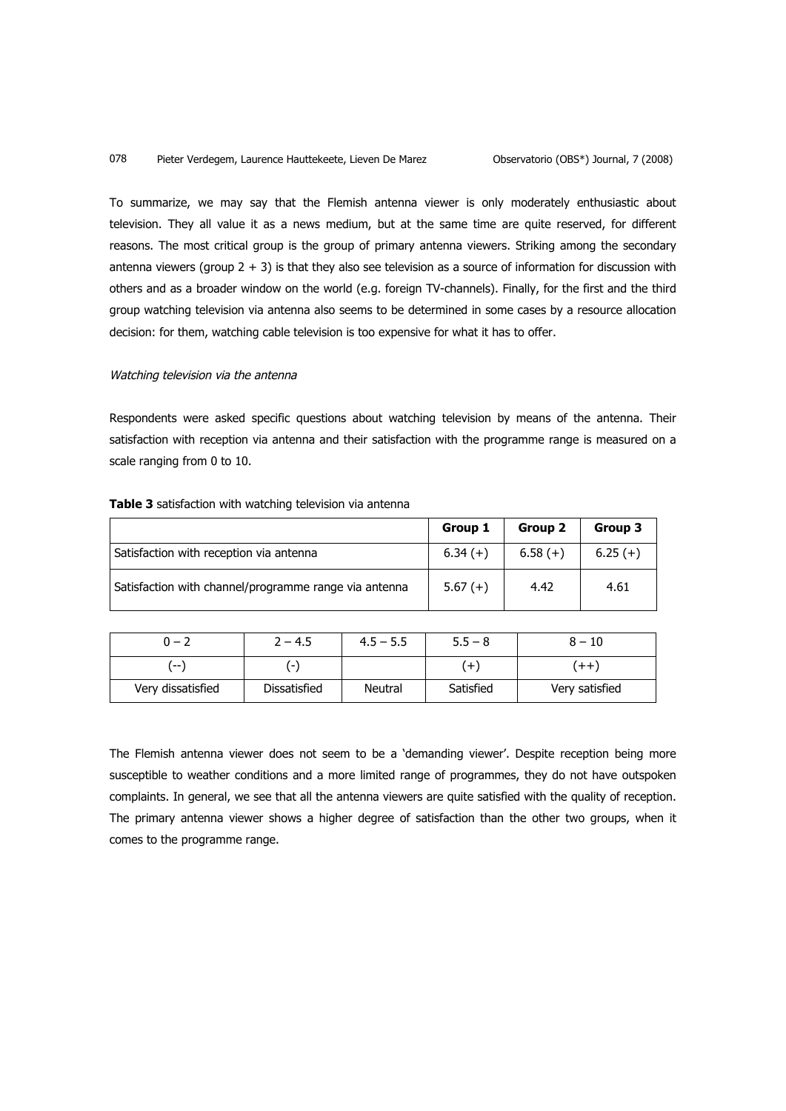To summarize, we may say that the Flemish antenna viewer is only moderately enthusiastic about television. They all value it as a news medium, but at the same time are quite reserved, for different reasons. The most critical group is the group of primary antenna viewers. Striking among the secondary antenna viewers (group  $2 + 3$ ) is that they also see television as a source of information for discussion with others and as a broader window on the world (e.g. foreign TV-channels). Finally, for the first and the third group watching television via antenna also seems to be determined in some cases by a resource allocation decision: for them, watching cable television is too expensive for what it has to offer.

## Watching television via the antenna

Respondents were asked specific questions about watching television by means of the antenna. Their satisfaction with reception via antenna and their satisfaction with the programme range is measured on a scale ranging from 0 to 10.

|                                                       | Group 1   | Group 2   | Group 3   |
|-------------------------------------------------------|-----------|-----------|-----------|
| Satisfaction with reception via antenna               | $6.34(+)$ | $6.58(+)$ | $6.25(+)$ |
| Satisfaction with channel/programme range via antenna | $5.67(+)$ | 4.42      | 4.61      |

|  |  | <b>Table 3</b> satisfaction with watching television via antenna |  |  |  |  |  |
|--|--|------------------------------------------------------------------|--|--|--|--|--|
|--|--|------------------------------------------------------------------|--|--|--|--|--|

| $0 - 2$           | $2 - 4.5$    | $4.5 - 5.5$ | $5.5 - 8$ | $8 - 10$         |
|-------------------|--------------|-------------|-----------|------------------|
| .<br>             | -            |             | æ         | $^{\mathrm{++}}$ |
| Very dissatisfied | Dissatisfied | Neutral     | Satisfied | Very satisfied   |

The Flemish antenna viewer does not seem to be a 'demanding viewer'. Despite reception being more susceptible to weather conditions and a more limited range of programmes, they do not have outspoken complaints. In general, we see that all the antenna viewers are quite satisfied with the quality of reception. The primary antenna viewer shows a higher degree of satisfaction than the other two groups, when it comes to the programme range.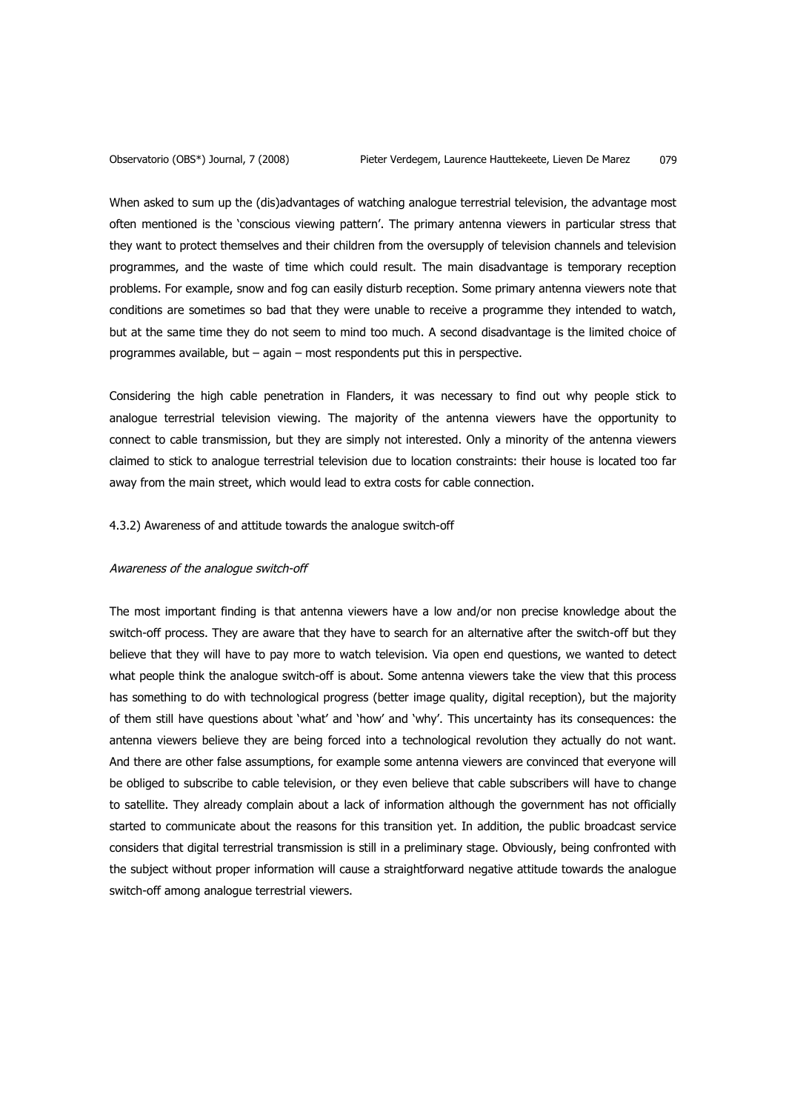When asked to sum up the (dis)advantages of watching analogue terrestrial television, the advantage most often mentioned is the 'conscious viewing pattern'. The primary antenna viewers in particular stress that they want to protect themselves and their children from the oversupply of television channels and television programmes, and the waste of time which could result. The main disadvantage is temporary reception problems. For example, snow and fog can easily disturb reception. Some primary antenna viewers note that conditions are sometimes so bad that they were unable to receive a programme they intended to watch, but at the same time they do not seem to mind too much. A second disadvantage is the limited choice of programmes available, but – again – most respondents put this in perspective.

Considering the high cable penetration in Flanders, it was necessary to find out why people stick to analogue terrestrial television viewing. The majority of the antenna viewers have the opportunity to connect to cable transmission, but they are simply not interested. Only a minority of the antenna viewers claimed to stick to analogue terrestrial television due to location constraints: their house is located too far away from the main street, which would lead to extra costs for cable connection.

4.3.2) Awareness of and attitude towards the analogue switch-off

## Awareness of the analogue switch-off

The most important finding is that antenna viewers have a low and/or non precise knowledge about the switch-off process. They are aware that they have to search for an alternative after the switch-off but they believe that they will have to pay more to watch television. Via open end questions, we wanted to detect what people think the analogue switch-off is about. Some antenna viewers take the view that this process has something to do with technological progress (better image quality, digital reception), but the majority of them still have questions about 'what' and 'how' and 'why'. This uncertainty has its consequences: the antenna viewers believe they are being forced into a technological revolution they actually do not want. And there are other false assumptions, for example some antenna viewers are convinced that everyone will be obliged to subscribe to cable television, or they even believe that cable subscribers will have to change to satellite. They already complain about a lack of information although the government has not officially started to communicate about the reasons for this transition yet. In addition, the public broadcast service considers that digital terrestrial transmission is still in a preliminary stage. Obviously, being confronted with the subject without proper information will cause a straightforward negative attitude towards the analogue switch-off among analogue terrestrial viewers.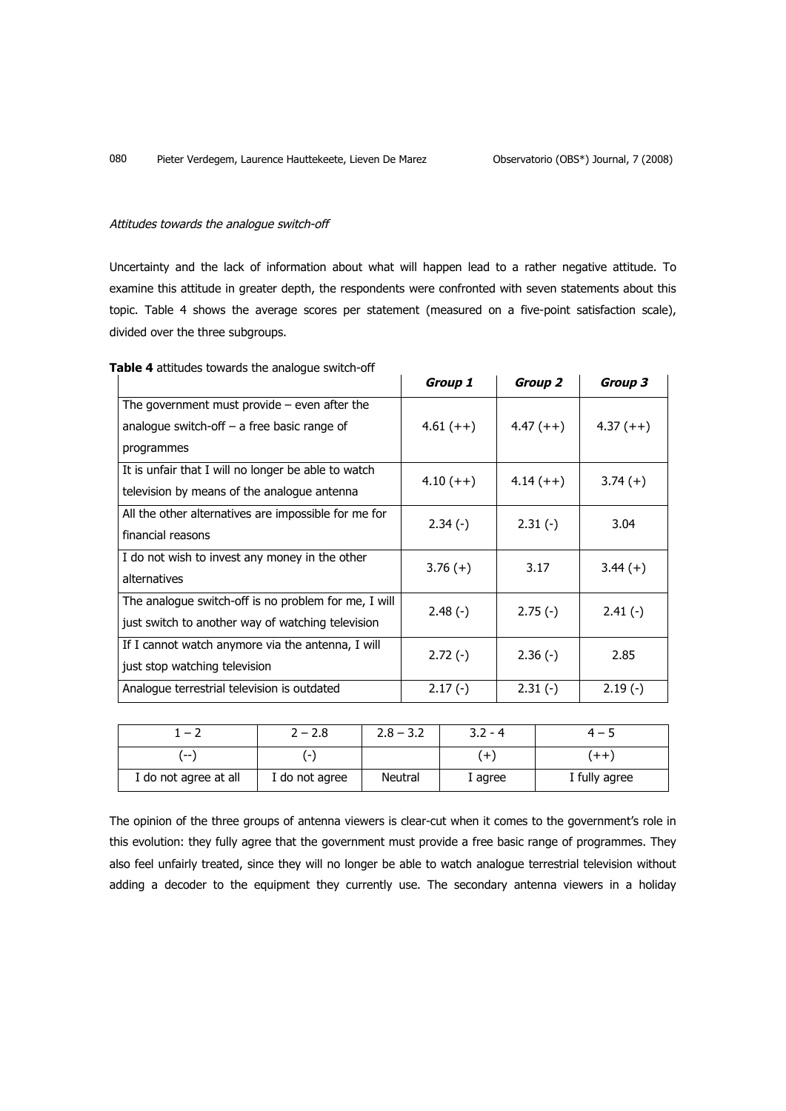## Attitudes towards the analogue switch-off

Uncertainty and the lack of information about what will happen lead to a rather negative attitude. To examine this attitude in greater depth, the respondents were confronted with seven statements about this topic. Table 4 shows the average scores per statement (measured on a five-point satisfaction scale), divided over the three subgroups.

|                                                                                                               | Group 1     | Group 2     | Group 3     |
|---------------------------------------------------------------------------------------------------------------|-------------|-------------|-------------|
| The government must provide $-$ even after the<br>analogue switch-off $-$ a free basic range of<br>programmes | $4.61 (++)$ | $4.47(++)$  | $4.37 (++)$ |
| It is unfair that I will no longer be able to watch<br>television by means of the analogue antenna            | $4.10 (++)$ | $4.14 (++)$ | $3.74(+)$   |
| All the other alternatives are impossible for me for<br>financial reasons                                     | $2.34(-)$   | $2.31(-)$   | 3.04        |
| I do not wish to invest any money in the other<br>alternatives                                                | $3.76(+)$   | 3.17        | $3.44(+)$   |
| The analogue switch-off is no problem for me, I will<br>just switch to another way of watching television     | $2.48(-)$   | $2.75(-)$   | $2.41(-)$   |
| If I cannot watch anymore via the antenna, I will<br>just stop watching television                            | $2.72(-)$   | $2.36(-)$   | 2.85        |
| Analogue terrestrial television is outdated                                                                   | $2.17(-)$   | $2.31(-)$   | $2.19(-)$   |

# **Table 4** attitudes towards the analogue switch-off

| $-2$                  | $2 - 2.8$                | $2.8 - 3.2$    | $3.2 - 4$ | — 5              |
|-----------------------|--------------------------|----------------|-----------|------------------|
| $- -$                 | $\overline{\phantom{0}}$ |                | $^{+}$    | $^{\mathrm{++}}$ |
| I do not agree at all | I do not agree           | <b>Neutral</b> | I agree   | I fully agree    |

The opinion of the three groups of antenna viewers is clear-cut when it comes to the government's role in this evolution: they fully agree that the government must provide a free basic range of programmes. They also feel unfairly treated, since they will no longer be able to watch analogue terrestrial television without adding a decoder to the equipment they currently use. The secondary antenna viewers in a holiday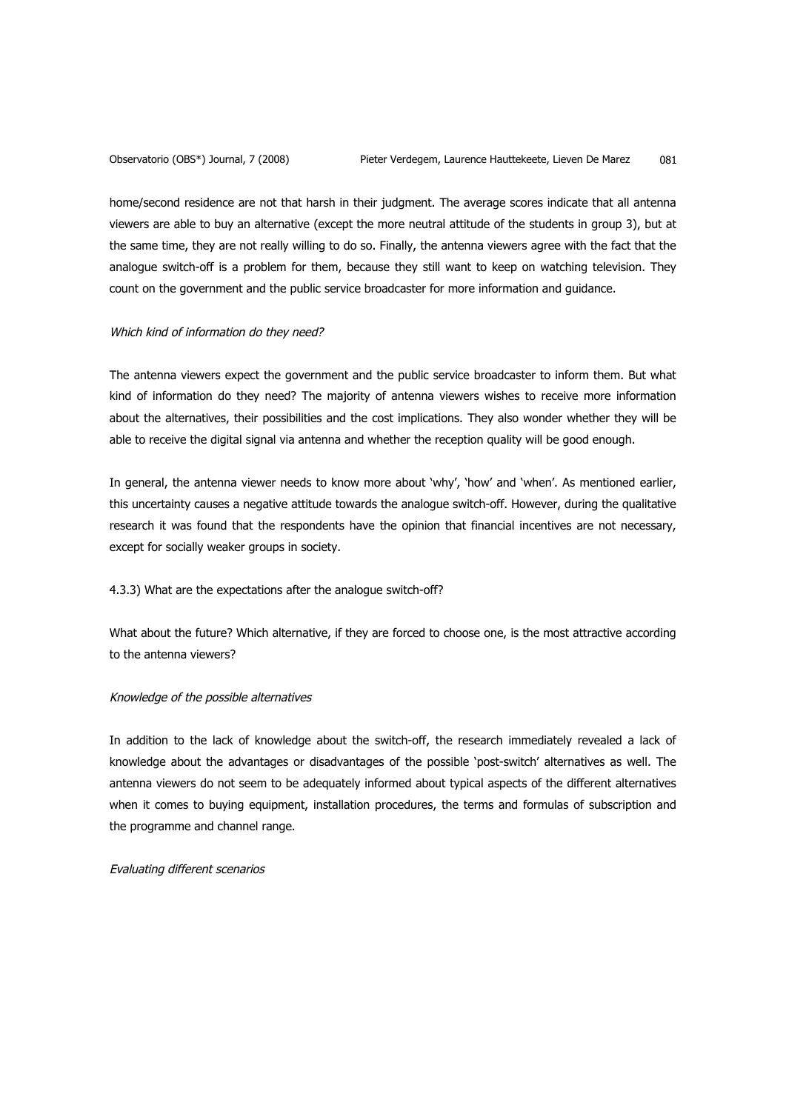home/second residence are not that harsh in their judgment. The average scores indicate that all antenna viewers are able to buy an alternative (except the more neutral attitude of the students in group 3), but at the same time, they are not really willing to do so. Finally, the antenna viewers agree with the fact that the analogue switch-off is a problem for them, because they still want to keep on watching television. They count on the government and the public service broadcaster for more information and guidance.

#### Which kind of information do they need?

The antenna viewers expect the government and the public service broadcaster to inform them. But what kind of information do they need? The majority of antenna viewers wishes to receive more information about the alternatives, their possibilities and the cost implications. They also wonder whether they will be able to receive the digital signal via antenna and whether the reception quality will be good enough.

In general, the antenna viewer needs to know more about 'why', 'how' and 'when'. As mentioned earlier, this uncertainty causes a negative attitude towards the analogue switch-off. However, during the qualitative research it was found that the respondents have the opinion that financial incentives are not necessary, except for socially weaker groups in society.

## 4.3.3) What are the expectations after the analogue switch-off?

What about the future? Which alternative, if they are forced to choose one, is the most attractive according to the antenna viewers?

#### Knowledge of the possible alternatives

In addition to the lack of knowledge about the switch-off, the research immediately revealed a lack of knowledge about the advantages or disadvantages of the possible 'post-switch' alternatives as well. The antenna viewers do not seem to be adequately informed about typical aspects of the different alternatives when it comes to buying equipment, installation procedures, the terms and formulas of subscription and the programme and channel range.

#### Evaluating different scenarios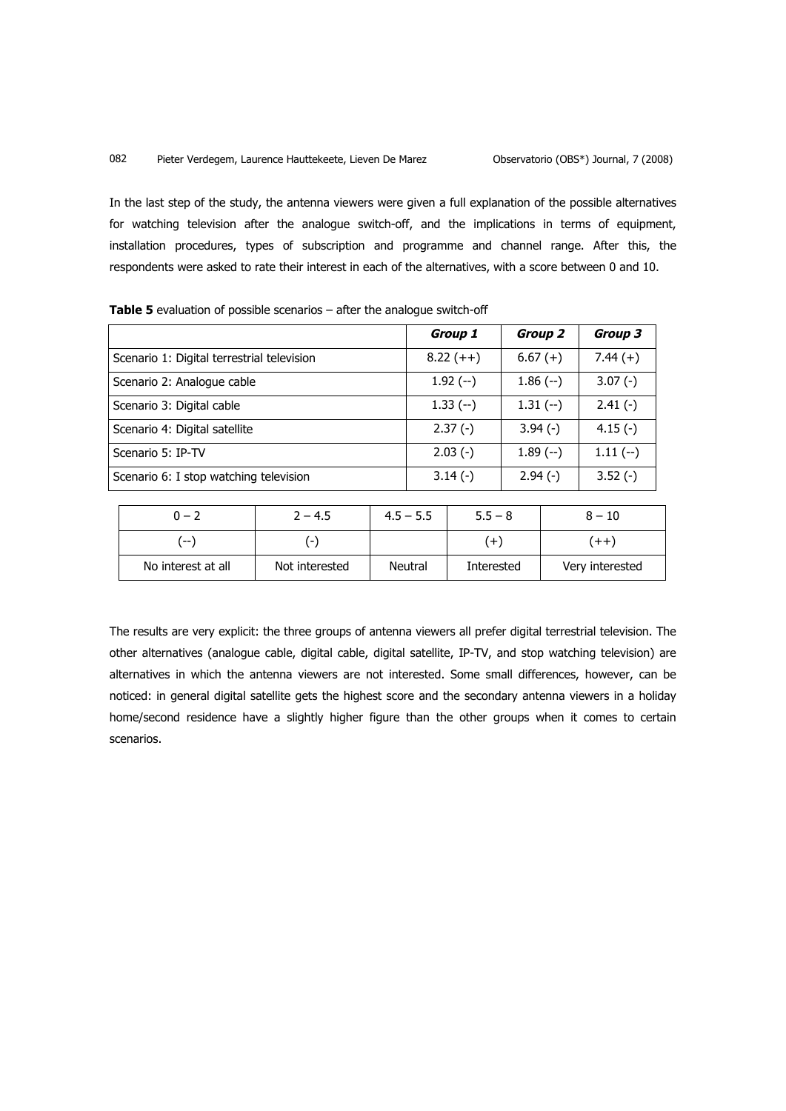In the last step of the study, the antenna viewers were given a full explanation of the possible alternatives for watching television after the analogue switch-off, and the implications in terms of equipment, installation procedures, types of subscription and programme and channel range. After this, the respondents were asked to rate their interest in each of the alternatives, with a score between 0 and 10.

|                                            | Group 1     | Group 2    | Group 3   |
|--------------------------------------------|-------------|------------|-----------|
| Scenario 1: Digital terrestrial television | $8.22 (++)$ | $6.67 (+)$ | $7.44(+)$ |
| Scenario 2: Analogue cable                 | $1.92$ (--) | $1.86(-)$  | $3.07(-)$ |
| Scenario 3: Digital cable                  | $1.33(-)$   | $1.31(-)$  | $2.41(-)$ |
| Scenario 4: Digital satellite              | $2.37(-)$   | $3.94(-)$  | $4.15(-)$ |
| Scenario 5: IP-TV                          | $2.03(-)$   | $1.89(-)$  | $1.11(-)$ |
| Scenario 6: I stop watching television     | $3.14(-)$   | $2.94(-)$  | $3.52(-)$ |

| <b>Table 5</b> evaluation of possible scenarios $-$ after the analogue switch-off |  |  |  |  |
|-----------------------------------------------------------------------------------|--|--|--|--|
|-----------------------------------------------------------------------------------|--|--|--|--|

| $0 - 2$            | $2 - 4.5$                | $4.5 - 5.5$ | $5.5 - 8$  | $8 - 10$        |
|--------------------|--------------------------|-------------|------------|-----------------|
| ′−−                | $\overline{\phantom{a}}$ |             |            | $(++)$          |
| No interest at all | Not interested           | Neutral     | Interested | Very interested |

The results are very explicit: the three groups of antenna viewers all prefer digital terrestrial television. The other alternatives (analogue cable, digital cable, digital satellite, IP-TV, and stop watching television) are alternatives in which the antenna viewers are not interested. Some small differences, however, can be noticed: in general digital satellite gets the highest score and the secondary antenna viewers in a holiday home/second residence have a slightly higher figure than the other groups when it comes to certain scenarios.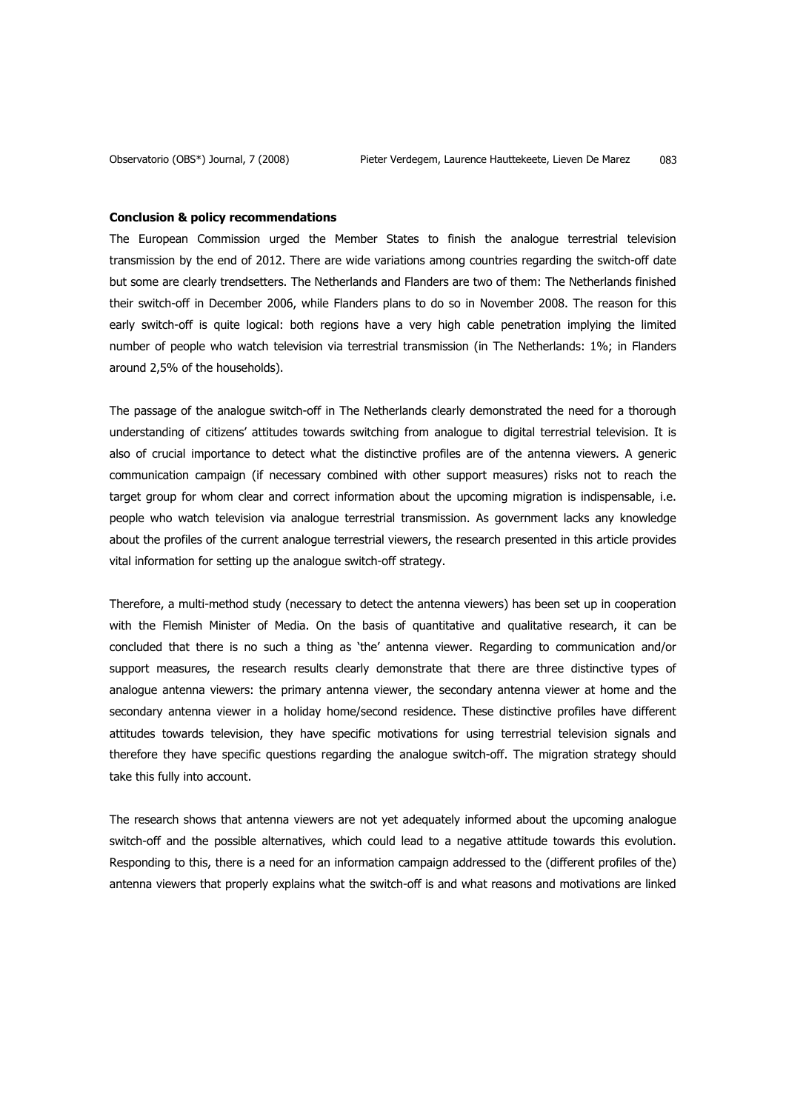#### **Conclusion & policy recommendations**

The European Commission urged the Member States to finish the analogue terrestrial television transmission by the end of 2012. There are wide variations among countries regarding the switch-off date but some are clearly trendsetters. The Netherlands and Flanders are two of them: The Netherlands finished their switch-off in December 2006, while Flanders plans to do so in November 2008. The reason for this early switch-off is quite logical: both regions have a very high cable penetration implying the limited number of people who watch television via terrestrial transmission (in The Netherlands: 1%; in Flanders around 2,5% of the households).

The passage of the analogue switch-off in The Netherlands clearly demonstrated the need for a thorough understanding of citizens' attitudes towards switching from analogue to digital terrestrial television. It is also of crucial importance to detect what the distinctive profiles are of the antenna viewers. A generic communication campaign (if necessary combined with other support measures) risks not to reach the target group for whom clear and correct information about the upcoming migration is indispensable, i.e. people who watch television via analogue terrestrial transmission. As government lacks any knowledge about the profiles of the current analogue terrestrial viewers, the research presented in this article provides vital information for setting up the analogue switch-off strategy.

Therefore, a multi-method study (necessary to detect the antenna viewers) has been set up in cooperation with the Flemish Minister of Media. On the basis of quantitative and qualitative research, it can be concluded that there is no such a thing as 'the' antenna viewer. Regarding to communication and/or support measures, the research results clearly demonstrate that there are three distinctive types of analogue antenna viewers: the primary antenna viewer, the secondary antenna viewer at home and the secondary antenna viewer in a holiday home/second residence. These distinctive profiles have different attitudes towards television, they have specific motivations for using terrestrial television signals and therefore they have specific questions regarding the analogue switch-off. The migration strategy should take this fully into account.

The research shows that antenna viewers are not yet adequately informed about the upcoming analogue switch-off and the possible alternatives, which could lead to a negative attitude towards this evolution. Responding to this, there is a need for an information campaign addressed to the (different profiles of the) antenna viewers that properly explains what the switch-off is and what reasons and motivations are linked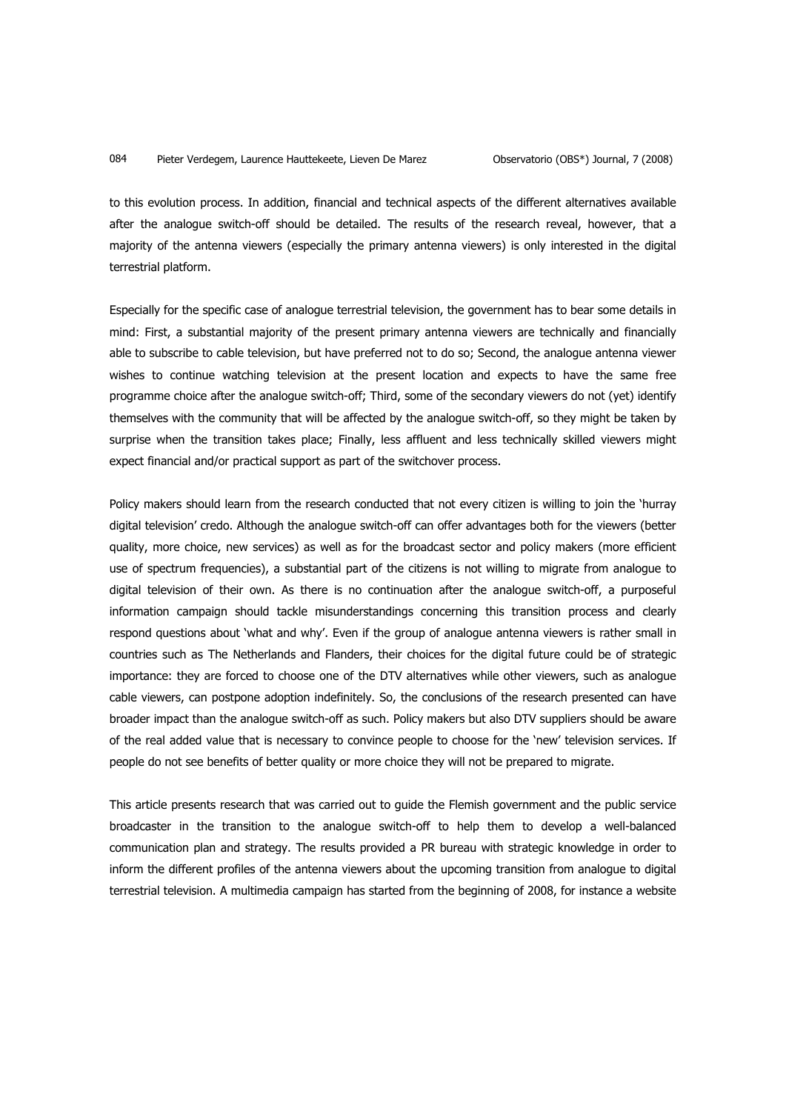to this evolution process. In addition, financial and technical aspects of the different alternatives available after the analogue switch-off should be detailed. The results of the research reveal, however, that a majority of the antenna viewers (especially the primary antenna viewers) is only interested in the digital terrestrial platform.

Especially for the specific case of analogue terrestrial television, the government has to bear some details in mind: First, a substantial majority of the present primary antenna viewers are technically and financially able to subscribe to cable television, but have preferred not to do so; Second, the analogue antenna viewer wishes to continue watching television at the present location and expects to have the same free programme choice after the analogue switch-off; Third, some of the secondary viewers do not (yet) identify themselves with the community that will be affected by the analogue switch-off, so they might be taken by surprise when the transition takes place; Finally, less affluent and less technically skilled viewers might expect financial and/or practical support as part of the switchover process.

Policy makers should learn from the research conducted that not every citizen is willing to join the 'hurray digital television' credo. Although the analogue switch-off can offer advantages both for the viewers (better quality, more choice, new services) as well as for the broadcast sector and policy makers (more efficient use of spectrum frequencies), a substantial part of the citizens is not willing to migrate from analogue to digital television of their own. As there is no continuation after the analogue switch-off, a purposeful information campaign should tackle misunderstandings concerning this transition process and clearly respond questions about 'what and why'. Even if the group of analogue antenna viewers is rather small in countries such as The Netherlands and Flanders, their choices for the digital future could be of strategic importance: they are forced to choose one of the DTV alternatives while other viewers, such as analogue cable viewers, can postpone adoption indefinitely. So, the conclusions of the research presented can have broader impact than the analogue switch-off as such. Policy makers but also DTV suppliers should be aware of the real added value that is necessary to convince people to choose for the 'new' television services. If people do not see benefits of better quality or more choice they will not be prepared to migrate.

This article presents research that was carried out to guide the Flemish government and the public service broadcaster in the transition to the analogue switch-off to help them to develop a well-balanced communication plan and strategy. The results provided a PR bureau with strategic knowledge in order to inform the different profiles of the antenna viewers about the upcoming transition from analogue to digital terrestrial television. A multimedia campaign has started from the beginning of 2008, for instance a website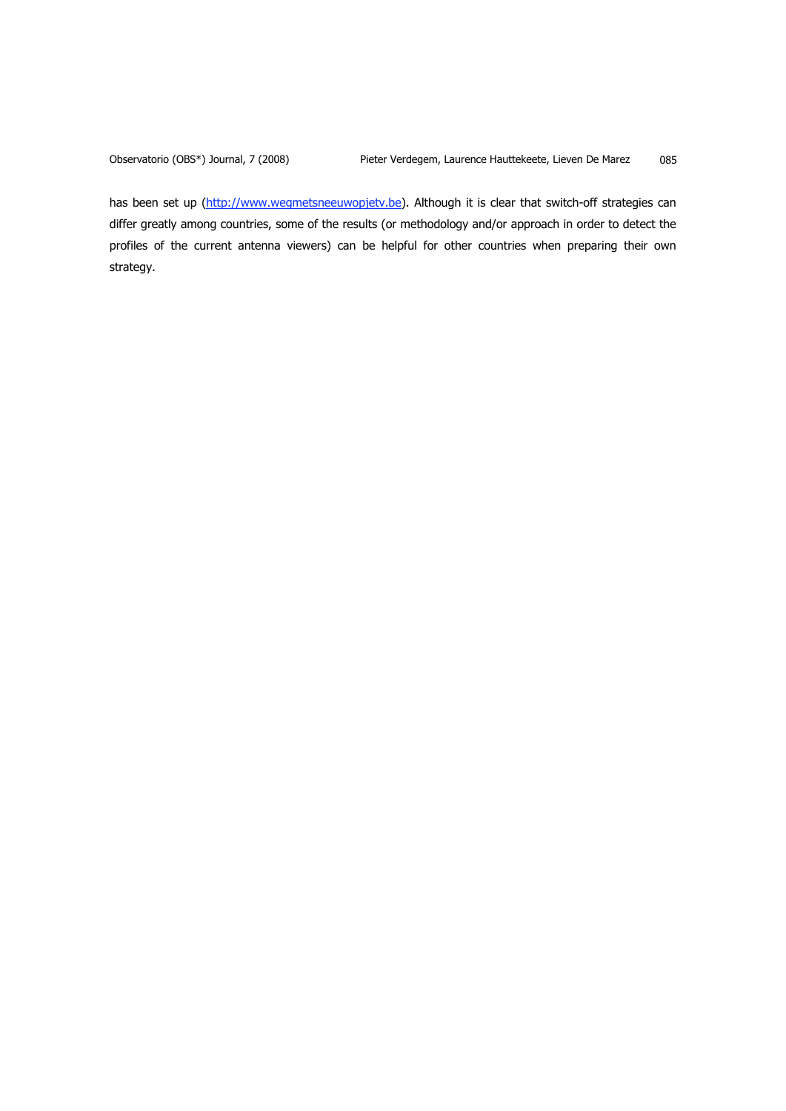has been set up (http://www.wegmetsneeuwopjetv.be). Although it is clear that switch-off strategies can differ greatly among countries, some of the results (or methodology and/or approach in order to detect the profiles of the current antenna viewers) can be helpful for other countries when preparing their own strategy.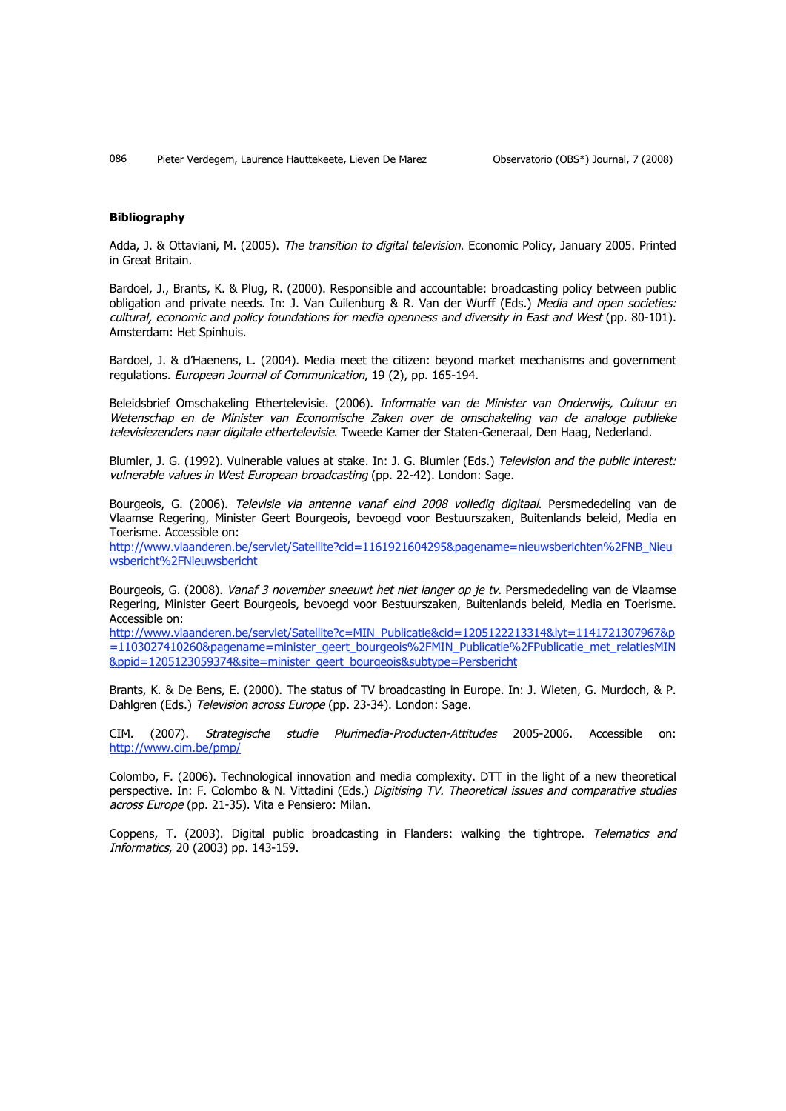#### **Bibliography**

Adda, J. & Ottaviani, M. (2005). The transition to digital television. Economic Policy, January 2005. Printed in Great Britain.

Bardoel, J., Brants, K. & Plug, R. (2000). Responsible and accountable: broadcasting policy between public obligation and private needs. In: J. Van Cuilenburg & R. Van der Wurff (Eds.) Media and open societies: cultural, economic and policy foundations for media openness and diversity in East and West (pp. 80-101). Amsterdam: Het Spinhuis.

Bardoel, J. & d'Haenens, L. (2004). Media meet the citizen: beyond market mechanisms and government regulations. European Journal of Communication, 19 (2), pp. 165-194.

Beleidsbrief Omschakeling Ethertelevisie. (2006). Informatie van de Minister van Onderwijs, Cultuur en Wetenschap en de Minister van Economische Zaken over de omschakeling van de analoge publieke televisiezenders naar digitale ethertelevisie. Tweede Kamer der Staten-Generaal, Den Haag, Nederland.

Blumler, J. G. (1992). Vulnerable values at stake. In: J. G. Blumler (Eds.) Television and the public interest: vulnerable values in West European broadcasting (pp. 22-42). London: Sage.

Bourgeois, G. (2006). Televisie via antenne vanaf eind 2008 volledig digitaal. Persmededeling van de Vlaamse Regering, Minister Geert Bourgeois, bevoegd voor Bestuurszaken, Buitenlands beleid, Media en Toerisme. Accessible on:

http://www.vlaanderen.be/servlet/Satellite?cid=1161921604295&pagename=nieuwsberichten%2FNB\_Nieu wsbericht%2FNieuwsbericht

Bourgeois, G. (2008). Vanaf 3 november sneeuwt het niet langer op je tv. Persmededeling van de Vlaamse Regering, Minister Geert Bourgeois, bevoegd voor Bestuurszaken, Buitenlands beleid, Media en Toerisme. Accessible on:

http://www.vlaanderen.be/servlet/Satellite?c=MIN\_Publicatie&cid=1205122213314&lyt=1141721307967&p =1103027410260&pagename=minister\_geert\_bourgeois%2FMIN\_Publicatie%2FPublicatie\_met\_relatiesMIN &ppid=1205123059374&site=minister\_geert\_bourgeois&subtype=Persbericht

Brants, K. & De Bens, E. (2000). The status of TV broadcasting in Europe. In: J. Wieten, G. Murdoch, & P. Dahlgren (Eds.) Television across Europe (pp. 23-34). London: Sage.

CIM. (2007). Strategische studie Plurimedia-Producten-Attitudes 2005-2006. Accessible on: http://www.cim.be/pmp/

Colombo, F. (2006). Technological innovation and media complexity. DTT in the light of a new theoretical perspective. In: F. Colombo & N. Vittadini (Eds.) Digitising TV. Theoretical issues and comparative studies across Europe (pp. 21-35). Vita e Pensiero: Milan.

Coppens, T. (2003). Digital public broadcasting in Flanders: walking the tightrope. Telematics and Informatics, 20 (2003) pp. 143-159.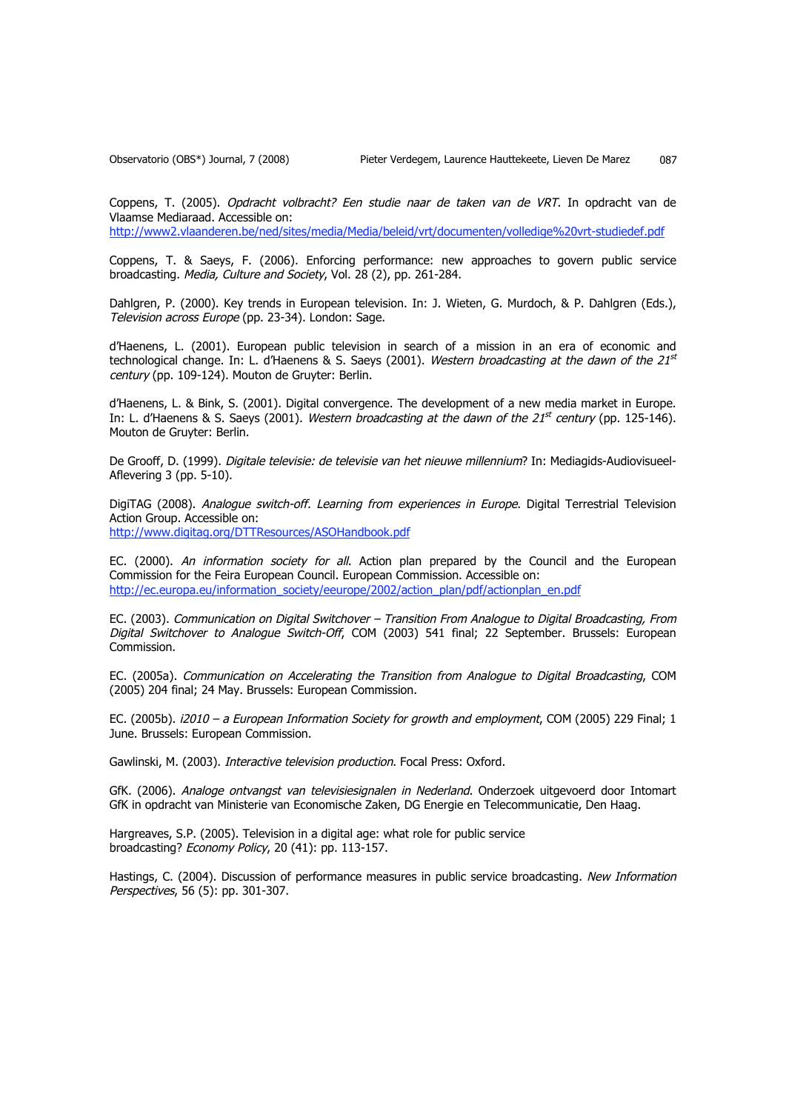Coppens, T. (2005). Opdracht volbracht? Een studie naar de taken van de VRT. In opdracht van de Vlaamse Mediaraad. Accessible on:

http://www2.vlaanderen.be/ned/sites/media/Media/beleid/vrt/documenten/volledige%20vrt-studiedef.pdf

Coppens, T. & Saeys, F. (2006). Enforcing performance: new approaches to govern public service broadcasting. Media, Culture and Society, Vol. 28 (2), pp. 261-284.

Dahlgren, P. (2000). Key trends in European television. In: J. Wieten, G. Murdoch, & P. Dahlgren (Eds.), Television across Europe (pp. 23-34). London: Sage.

d'Haenens, L. (2001). European public television in search of a mission in an era of economic and technological change. In: L. d'Haenens & S. Saeys (2001). Western broadcasting at the dawn of the  $21^{st}$ century (pp. 109-124). Mouton de Gruyter: Berlin.

d'Haenens, L. & Bink, S. (2001). Digital convergence. The development of a new media market in Europe. In: L. d'Haenens & S. Saeys (2001). Western broadcasting at the dawn of the 21<sup>st</sup> century (pp. 125-146). Mouton de Gruyter: Berlin.

De Grooff, D. (1999). Digitale televisie: de televisie van het nieuwe millennium? In: Mediagids-Audiovisueel-Aflevering 3 (pp. 5-10).

DigiTAG (2008). Analogue switch-off. Learning from experiences in Europe. Digital Terrestrial Television Action Group. Accessible on: http://www.digitag.org/DTTResources/ASOHandbook.pdf

EC. (2000). An information society for all. Action plan prepared by the Council and the European Commission for the Feira European Council. European Commission. Accessible on: http://ec.europa.eu/information\_society/eeurope/2002/action\_plan/pdf/actionplan\_en.pdf

EC. (2003). Communication on Digital Switchover – Transition From Analogue to Digital Broadcasting, From Digital Switchover to Analogue Switch-Off, COM (2003) 541 final; 22 September. Brussels: European Commission.

EC. (2005a). Communication on Accelerating the Transition from Analogue to Digital Broadcasting, COM (2005) 204 final; 24 May. Brussels: European Commission.

EC. (2005b). i2010 - a European Information Society for growth and employment, COM (2005) 229 Final; 1 June. Brussels: European Commission.

Gawlinski, M. (2003). Interactive television production. Focal Press: Oxford.

GfK. (2006). Analoge ontvangst van televisiesignalen in Nederland. Onderzoek uitgevoerd door Intomart GfK in opdracht van Ministerie van Economische Zaken, DG Energie en Telecommunicatie, Den Haag.

Hargreaves, S.P. (2005). Television in a digital age: what role for public service broadcasting? Economy Policy, 20 (41): pp. 113-157.

Hastings, C. (2004). Discussion of performance measures in public service broadcasting. New Information Perspectives, 56 (5): pp. 301-307.